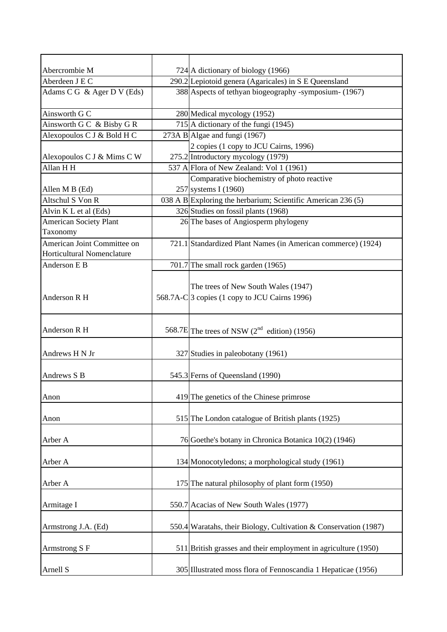| Abercrombie M                 | 724 A dictionary of biology (1966)                               |
|-------------------------------|------------------------------------------------------------------|
| Aberdeen J E C                | 290.2 Lepiotoid genera (Agaricales) in S E Queensland            |
| Adams C G & Ager D V (Eds)    | 388 Aspects of tethyan biogeography -symposium- (1967)           |
| Ainsworth G C                 | 280 Medical mycology (1952)                                      |
| Ainsworth G C & Bisby G R     | 715 A dictionary of the fungi $(1945)$                           |
| Alexopoulos C J & Bold H C    | 273A B Algae and fungi $(1967)$                                  |
|                               | 2 copies (1 copy to JCU Cairns, 1996)                            |
| Alexopoulos C J & Mims C W    | 275.2 Introductory mycology (1979)                               |
| Allan H H                     | 537 A Flora of New Zealand: Vol 1 (1961)                         |
|                               | Comparative biochemistry of photo reactive                       |
| Allen M B (Ed)                | 257 systems I (1960)                                             |
| Altschul S Von R              | 038 A B Exploring the herbarium; Scientific American 236 (5)     |
| Alvin K L et al (Eds)         | 326 Studies on fossil plants (1968)                              |
| <b>American Society Plant</b> | 26 The bases of Angiosperm phylogeny                             |
| Taxonomy                      |                                                                  |
| American Joint Committee on   | 721.1 Standardized Plant Names (in American commerce) (1924)     |
| Horticultural Nomenclature    |                                                                  |
| Anderson E B                  | 701.7 The small rock garden (1965)                               |
|                               |                                                                  |
|                               | The trees of New South Wales (1947)                              |
| Anderson R H                  | 568.7A-C 3 copies (1 copy to JCU Cairns 1996)                    |
|                               |                                                                  |
|                               |                                                                  |
| Anderson R H                  | 568.7E The trees of NSW $(2^{nd}$ edition) (1956)                |
| Andrews H N Jr                | 327 Studies in paleobotany (1961)                                |
|                               |                                                                  |
| Andrews S B                   | 545.3 Ferns of Queensland (1990)                                 |
|                               |                                                                  |
| Anon                          | 419 The genetics of the Chinese primrose                         |
|                               |                                                                  |
| Anon                          | 515 The London catalogue of British plants (1925)                |
|                               |                                                                  |
| Arber A                       | 76 Goethe's botany in Chronica Botanica 10(2) (1946)             |
|                               |                                                                  |
| Arber A                       | 134 Monocotyledons; a morphological study (1961)                 |
|                               |                                                                  |
| Arber A                       | 175 The natural philosophy of plant form (1950)                  |
|                               |                                                                  |
| Armitage I                    | 550.7 Acacias of New South Wales (1977)                          |
|                               |                                                                  |
| Armstrong J.A. (Ed)           | 550.4 Waratahs, their Biology, Cultivation & Conservation (1987) |
|                               |                                                                  |
| Armstrong S F                 | 511 British grasses and their employment in agriculture (1950)   |
| Arnell S                      | 305 Illustrated moss flora of Fennoscandia 1 Hepaticae (1956)    |
|                               |                                                                  |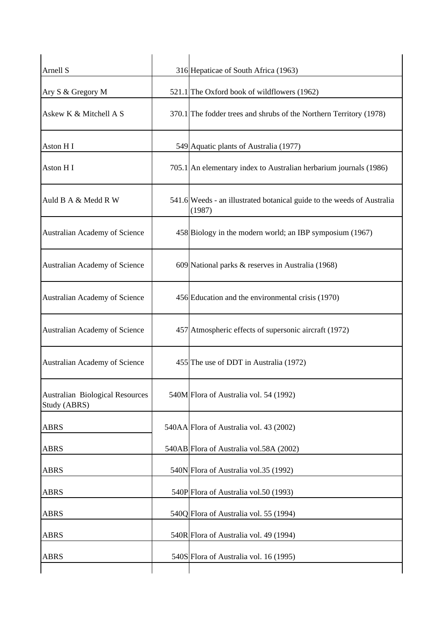| Arnell S                                               | 316 Hepaticae of South Africa (1963)                                             |
|--------------------------------------------------------|----------------------------------------------------------------------------------|
| Ary S & Gregory M                                      | 521.1 The Oxford book of wildflowers (1962)                                      |
| Askew K & Mitchell A S                                 | 370.1 The fodder trees and shrubs of the Northern Territory (1978)               |
| Aston HI                                               | 549 Aquatic plants of Australia (1977)                                           |
| Aston HI                                               | 705.1 An elementary index to Australian herbarium journals (1986)                |
| Auld B A & Medd R W                                    | 541.6 Weeds - an illustrated botanical guide to the weeds of Australia<br>(1987) |
| Australian Academy of Science                          | 458 Biology in the modern world; an IBP symposium (1967)                         |
| Australian Academy of Science                          | 609 National parks & reserves in Australia (1968)                                |
| Australian Academy of Science                          | 456 Education and the environmental crisis (1970)                                |
| Australian Academy of Science                          | 457 Atmospheric effects of supersonic aircraft (1972)                            |
| Australian Academy of Science                          | 455 The use of DDT in Australia (1972)                                           |
| <b>Australian Biological Resources</b><br>Study (ABRS) | 540M Flora of Australia vol. 54 (1992)                                           |
| <b>ABRS</b>                                            | 540AA Flora of Australia vol. 43 (2002)                                          |
| <b>ABRS</b>                                            | 540AB Flora of Australia vol.58A (2002)                                          |
| <b>ABRS</b>                                            | 540N Flora of Australia vol.35 (1992)                                            |
| <b>ABRS</b>                                            | 540P Flora of Australia vol.50 (1993)                                            |
| <b>ABRS</b>                                            | 540Q Flora of Australia vol. 55 (1994)                                           |
| <b>ABRS</b>                                            | 540R Flora of Australia vol. 49 (1994)                                           |
| <b>ABRS</b>                                            | 540S Flora of Australia vol. 16 (1995)                                           |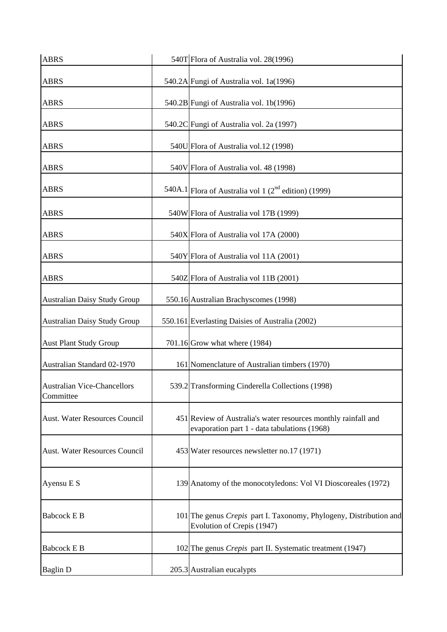| <b>ABRS</b>                                     | 540T Flora of Australia vol. 28(1996)                                                                          |
|-------------------------------------------------|----------------------------------------------------------------------------------------------------------------|
| <b>ABRS</b>                                     | 540.2A Fungi of Australia vol. 1a(1996)                                                                        |
| <b>ABRS</b>                                     | 540.2B Fungi of Australia vol. 1b(1996)                                                                        |
| <b>ABRS</b>                                     | 540.2C Fungi of Australia vol. 2a (1997)                                                                       |
| <b>ABRS</b>                                     | 540U Flora of Australia vol.12 (1998)                                                                          |
| <b>ABRS</b>                                     | 540V Flora of Australia vol. 48 (1998)                                                                         |
| <b>ABRS</b>                                     | 540A.1 Flora of Australia vol 1 $(2^{nd}$ edition) (1999)                                                      |
| <b>ABRS</b>                                     | 540W Flora of Australia vol 17B (1999)                                                                         |
| <b>ABRS</b>                                     | 540X Flora of Australia vol 17A (2000)                                                                         |
| <b>ABRS</b>                                     | 540Y Flora of Australia vol 11A (2001)                                                                         |
| <b>ABRS</b>                                     | 540Z Flora of Australia vol 11B (2001)                                                                         |
| Australian Daisy Study Group                    | 550.16 Australian Brachyscomes (1998)                                                                          |
| <b>Australian Daisy Study Group</b>             | 550.161 Everlasting Daisies of Australia (2002)                                                                |
| <b>Aust Plant Study Group</b>                   | 701.16 Grow what where $(1984)$                                                                                |
| Australian Standard 02-1970                     | 161 Nomenclature of Australian timbers (1970)                                                                  |
| <b>Australian Vice-Chancellors</b><br>Committee | 539.2 Transforming Cinderella Collections (1998)                                                               |
| <b>Aust. Water Resources Council</b>            | 451 Review of Australia's water resources monthly rainfall and<br>evaporation part 1 - data tabulations (1968) |
| Aust. Water Resources Council                   | 453 Water resources newsletter no.17 (1971)                                                                    |
| Ayensu E S                                      | 139 Anatomy of the monocotyledons: Vol VI Dioscoreales (1972)                                                  |
| <b>Babcock E B</b>                              | 101 The genus Crepis part I. Taxonomy, Phylogeny, Distribution and<br>Evolution of Crepis (1947)               |
| <b>Babcock E B</b>                              | 102 The genus Crepis part II. Systematic treatment (1947)                                                      |
| <b>Baglin D</b>                                 | 205.3 Australian eucalypts                                                                                     |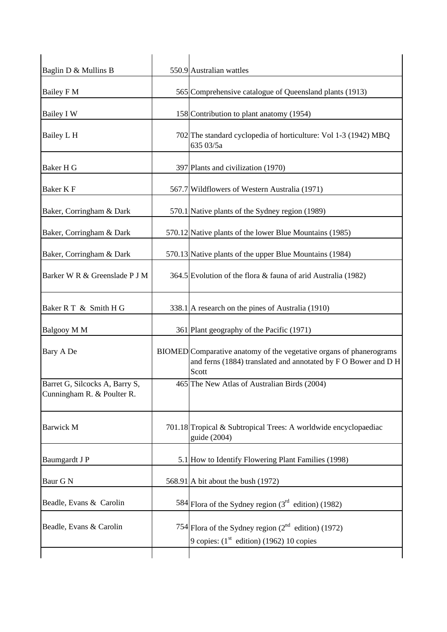| Baglin D & Mullins B                                         | 550.9 Australian wattles                                                                                                                       |
|--------------------------------------------------------------|------------------------------------------------------------------------------------------------------------------------------------------------|
| Bailey F M                                                   | 565 Comprehensive catalogue of Queensland plants (1913)                                                                                        |
| Bailey I W                                                   | 158 Contribution to plant anatomy (1954)                                                                                                       |
| Bailey L H                                                   | 702 The standard cyclopedia of horticulture: Vol 1-3 (1942) MBQ<br>635 03/5a                                                                   |
| Baker H G                                                    | 397 Plants and civilization (1970)                                                                                                             |
| Baker K F                                                    | 567.7 Wildflowers of Western Australia (1971)                                                                                                  |
| Baker, Corringham & Dark                                     | 570.1 Native plants of the Sydney region (1989)                                                                                                |
| Baker, Corringham & Dark                                     | 570.12 Native plants of the lower Blue Mountains (1985)                                                                                        |
| Baker, Corringham & Dark                                     | 570.13 Native plants of the upper Blue Mountains (1984)                                                                                        |
| Barker W R & Greenslade P J M                                | 364.5 Evolution of the flora & fauna of arid Australia (1982)                                                                                  |
| Baker R T & Smith H G                                        | 338.1 A research on the pines of Australia (1910)                                                                                              |
| Balgooy M M                                                  | 361 Plant geography of the Pacific (1971)                                                                                                      |
| Bary A De                                                    | BIOMED Comparative anatomy of the vegetative organs of phanerograms<br>and ferns (1884) translated and annotated by F O Bower and D H<br>Scott |
| Barret G, Silcocks A, Barry S,<br>Cunningham R. & Poulter R. | 465 The New Atlas of Australian Birds (2004)                                                                                                   |
| <b>Barwick M</b>                                             | 701.18 Tropical & Subtropical Trees: A worldwide encyclopaediac<br>guide (2004)                                                                |
| Baumgardt J P                                                | 5.1 How to Identify Flowering Plant Families (1998)                                                                                            |
| Baur G N                                                     | 568.91 A bit about the bush $(1972)$                                                                                                           |
| Beadle, Evans & Carolin                                      | 584 Flora of the Sydney region $(3rd$ edition) (1982)                                                                                          |
| Beadle, Evans & Carolin                                      | 754 Flora of the Sydney region $(2^{nd}$ edition) (1972)<br>9 copies: $(1st$ edition) (1962) 10 copies                                         |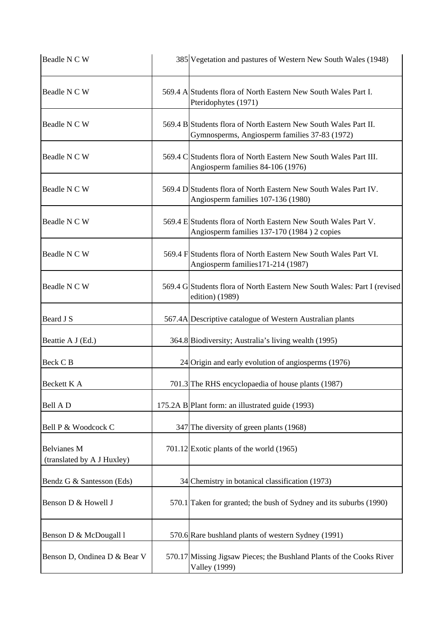| Beadle N C W                                     | 385 Vegetation and pastures of Western New South Wales (1948)                                                     |
|--------------------------------------------------|-------------------------------------------------------------------------------------------------------------------|
| Beadle N C W                                     | 569.4 A Students flora of North Eastern New South Wales Part I.<br>Pteridophytes (1971)                           |
| Beadle N C W                                     | 569.4 B Students flora of North Eastern New South Wales Part II.<br>Gymnosperms, Angiosperm families 37-83 (1972) |
| Beadle N C W                                     | 569.4 C Students flora of North Eastern New South Wales Part III.<br>Angiosperm families 84-106 (1976)            |
| Beadle N C W                                     | 569.4 D Students flora of North Eastern New South Wales Part IV.<br>Angiosperm families 107-136 (1980)            |
| Beadle N C W                                     | 569.4 E Students flora of North Eastern New South Wales Part V.<br>Angiosperm families 137-170 (1984) 2 copies    |
| Beadle N C W                                     | 569.4 F Students flora of North Eastern New South Wales Part VI.<br>Angiosperm families 171-214 (1987)            |
| Beadle N C W                                     | 569.4 G Students flora of North Eastern New South Wales: Part I (revised<br>edition) (1989)                       |
| Beard J S                                        | 567.4A Descriptive catalogue of Western Australian plants                                                         |
| Beattie A J (Ed.)                                | 364.8 Biodiversity; Australia's living wealth (1995)                                                              |
| Beck C <sub>B</sub>                              | $24$ Origin and early evolution of angiosperms (1976)                                                             |
| Beckett K A                                      | 701.3 The RHS encyclopaedia of house plants (1987)                                                                |
| Bell A D                                         | 175.2A B Plant form: an illustrated guide (1993)                                                                  |
| Bell P & Woodcock C                              | 347 The diversity of green plants (1968)                                                                          |
| <b>Belvianes M</b><br>(translated by A J Huxley) | $701.12$ Exotic plants of the world (1965)                                                                        |
| Bendz G & Santesson (Eds)                        | 34 Chemistry in botanical classification (1973)                                                                   |
| Benson D & Howell J                              | 570.1 Taken for granted; the bush of Sydney and its suburbs (1990)                                                |
| Benson D & McDougall l                           | 570.6 Rare bushland plants of western Sydney (1991)                                                               |
| Benson D, Ondinea D & Bear V                     | 570.17 Missing Jigsaw Pieces; the Bushland Plants of the Cooks River<br><b>Valley</b> (1999)                      |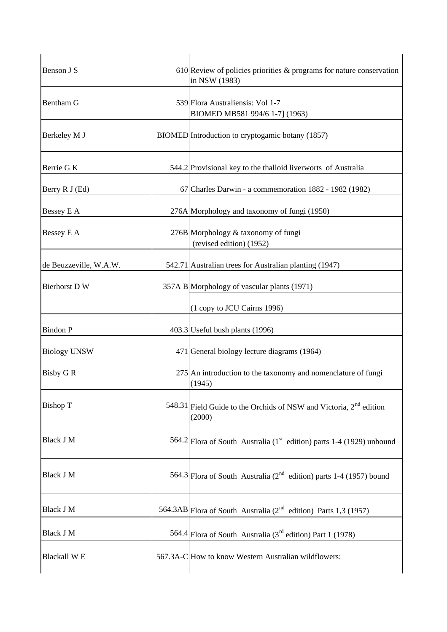| Benson J S             | $610$ Review of policies priorities & programs for nature conservation<br>in NSW (1983) |
|------------------------|-----------------------------------------------------------------------------------------|
| Bentham G              | 539 Flora Australiensis: Vol 1-7<br>BIOMED MB581 994/6 1-7] (1963)                      |
| Berkeley M J           | BIOMED Introduction to cryptogamic botany (1857)                                        |
| Berrie G K             | 544.2 Provisional key to the thalloid liverworts of Australia                           |
| Berry R J (Ed)         | 67 Charles Darwin - a commemoration 1882 - 1982 (1982)                                  |
| Bessey E A             | 276A Morphology and taxonomy of fungi (1950)                                            |
| Bessey E A             | 276B Morphology & taxonomy of fungi<br>(revised edition) (1952)                         |
| de Beuzzeville, W.A.W. | 542.71 Australian trees for Australian planting (1947)                                  |
| <b>Bierhorst D W</b>   | 357A B Morphology of vascular plants (1971)                                             |
|                        | (1 copy to JCU Cairns 1996)                                                             |
| <b>Bindon P</b>        | 403.3 Useful bush plants (1996)                                                         |
| <b>Biology UNSW</b>    | 471 General biology lecture diagrams (1964)                                             |
| <b>Bisby G R</b>       | 275 An introduction to the taxonomy and nomenclature of fungi<br>(1945)                 |
| <b>Bishop T</b>        | 548.31 Field Guide to the Orchids of NSW and Victoria, $2nd$ edition<br>(2000)          |
| <b>Black J M</b>       | 564.2 Flora of South Australia ( $1st$ edition) parts 1-4 (1929) unbound                |
| <b>Black J M</b>       | 564.3 Flora of South Australia ( $2^{nd}$ edition) parts 1-4 (1957) bound               |
| <b>Black J M</b>       | 564.3AB Flora of South Australia ( $2nd$ edition) Parts 1,3 (1957)                      |
| Black J M              | 564.4 Flora of South Australia ( $3rd$ edition) Part 1 (1978)                           |
| <b>Blackall WE</b>     | 567.3A-C How to know Western Australian wildflowers:                                    |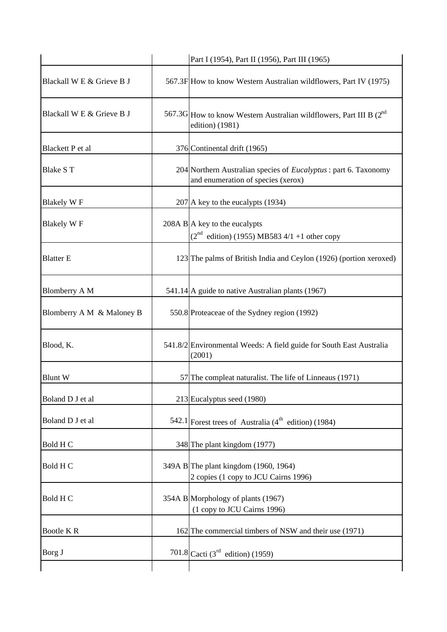|                           | Part I (1954), Part II (1956), Part III (1965)                                                                |
|---------------------------|---------------------------------------------------------------------------------------------------------------|
| Blackall W E & Grieve B J | 567.3F How to know Western Australian wildflowers, Part IV (1975)                                             |
| Blackall W E & Grieve B J | 567.3G How to know Western Australian wildflowers, Part III B $(2^{nd}$<br>edition) (1981)                    |
| Blackett P et al          | 376 Continental drift (1965)                                                                                  |
| <b>Blake ST</b>           | 204 Northern Australian species of <i>Eucalyptus</i> : part 6. Taxonomy<br>and enumeration of species (xerox) |
| Blakely W F               | $207$ A key to the eucalypts (1934)                                                                           |
| <b>Blakely WF</b>         | $208A B\vert A$ key to the eucalypts<br>$(2^{nd}$ edition) (1955) MB583 4/1 +1 other copy                     |
| <b>Blatter E</b>          | 123 The palms of British India and Ceylon (1926) (portion xeroxed)                                            |
| <b>Blomberry A M</b>      | 541.14 A guide to native Australian plants (1967)                                                             |
| Blomberry A M & Maloney B | 550.8 Proteaceae of the Sydney region (1992)                                                                  |
| Blood, K.                 | 541.8/2 Environmental Weeds: A field guide for South East Australia<br>(2001)                                 |
| <b>Blunt W</b>            | 57 The compleat naturalist. The life of Linneaus (1971)                                                       |
| Boland D J et al          | 213 Eucalyptus seed (1980)                                                                                    |
| Boland D J et al          | 542.1 Forest trees of Australia $(4th$ edition) (1984)                                                        |
| Bold H C                  | 348 The plant kingdom (1977)                                                                                  |
| Bold H C                  | 349A B The plant kingdom (1960, 1964)<br>2 copies (1 copy to JCU Cairns 1996)                                 |
| Bold H C                  | 354A B Morphology of plants (1967)<br>(1 copy to JCU Cairns 1996)                                             |
| Bootle KR                 | 162 The commercial timbers of NSW and their use (1971)                                                        |
| Borg J                    | 701.8 Cacti (3 <sup>rd</sup> edition) (1959)                                                                  |
|                           |                                                                                                               |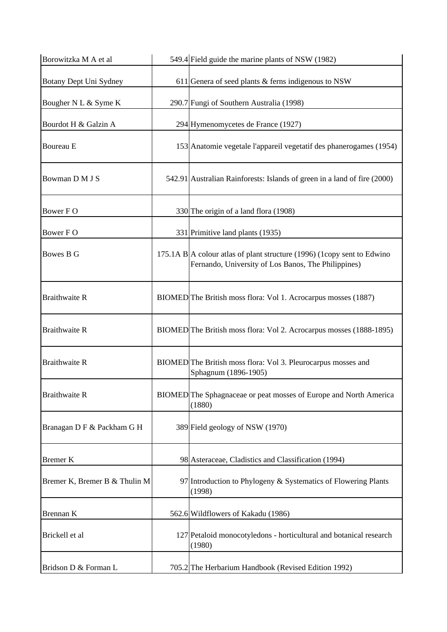| Borowitzka M A et al          | 549.4 Field guide the marine plants of NSW (1982)                                                                                       |
|-------------------------------|-----------------------------------------------------------------------------------------------------------------------------------------|
| Botany Dept Uni Sydney        | 611 Genera of seed plants $\&$ ferns indigenous to NSW                                                                                  |
| Bougher N L & Syme K          | 290.7 Fungi of Southern Australia (1998)                                                                                                |
| Bourdot H & Galzin A          | 294 Hymenomycetes de France (1927)                                                                                                      |
| <b>Boureau</b> E              | 153 Anatomie vegetale l'appareil vegetatif des phanerogames (1954)                                                                      |
| Bowman D M J S                | 542.91 Australian Rainforests: Islands of green in a land of fire (2000)                                                                |
| Bower FO                      | 330 The origin of a land flora (1908)                                                                                                   |
| Bower FO                      | 331 Primitive land plants (1935)                                                                                                        |
| Bowes B G                     | 175.1A B $\vert$ A colour at as of plant structure (1996) (1 copy sent to Edwino<br>Fernando, University of Los Banos, The Philippines) |
| <b>Braithwaite R</b>          | BIOMED The British moss flora: Vol 1. Acrocarpus mosses (1887)                                                                          |
| <b>Braithwaite R</b>          | BIOMED The British moss flora: Vol 2. Acrocarpus mosses (1888-1895)                                                                     |
| <b>Braithwaite R</b>          | BIOMED The British moss flora: Vol 3. Pleurocarpus mosses and<br>Sphagnum (1896-1905)                                                   |
| <b>Braithwaite R</b>          | BIOMED The Sphagnaceae or peat mosses of Europe and North America<br>(1880)                                                             |
| Branagan D F & Packham G H    | 389 Field geology of NSW (1970)                                                                                                         |
| <b>Bremer K</b>               | 98 Asteraceae, Cladistics and Classification (1994)                                                                                     |
| Bremer K, Bremer B & Thulin M | 97 Introduction to Phylogeny & Systematics of Flowering Plants<br>(1998)                                                                |
| Brennan K                     | 562.6 Wildflowers of Kakadu (1986)                                                                                                      |
| Brickell et al                | 127 Petaloid monocotyledons - horticultural and botanical research<br>(1980)                                                            |
| Bridson D & Forman L          | 705.2 The Herbarium Handbook (Revised Edition 1992)                                                                                     |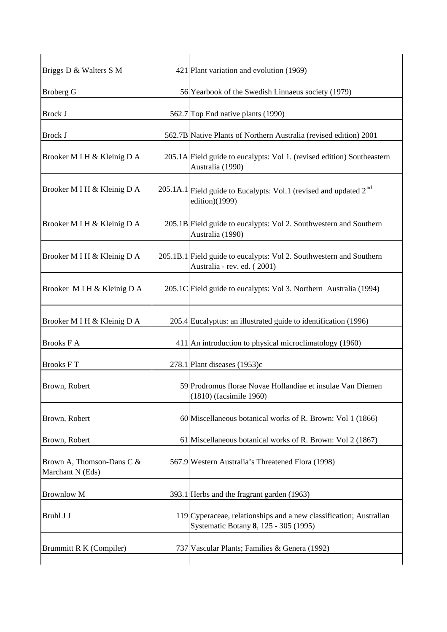| Briggs D & Walters S M                        | 421 Plant variation and evolution (1969)                                                                      |
|-----------------------------------------------|---------------------------------------------------------------------------------------------------------------|
| <b>Broberg G</b>                              | 56 Yearbook of the Swedish Linnaeus society (1979)                                                            |
| <b>Brock J</b>                                | 562.7 Top End native plants (1990)                                                                            |
| <b>Brock J</b>                                | 562.7B Native Plants of Northern Australia (revised edition) 2001                                             |
| Brooker M I H & Kleinig D A                   | 205.1A Field guide to eucalypts: Vol 1. (revised edition) Southeastern<br>Australia (1990)                    |
| Brooker M I H & Kleinig D A                   | $205.1A.1$ Field guide to Eucalypts: Vol.1 (revised and updated $2nd$<br>edition)(1999)                       |
| Brooker M I H & Kleinig D A                   | 205.1B Field guide to eucalypts: Vol 2. Southwestern and Southern<br>Australia (1990)                         |
| Brooker M I H & Kleinig D A                   | 205.1B.1 Field guide to eucalypts: Vol 2. Southwestern and Southern<br>Australia - rev. ed. (2001)            |
| Brooker MIH & Kleinig D A                     | 205.1C Field guide to eucalypts: Vol 3. Northern Australia (1994)                                             |
| Brooker M I H & Kleinig D A                   | 205.4 Eucalyptus: an illustrated guide to identification (1996)                                               |
| <b>Brooks F A</b>                             | 411 An introduction to physical microclimatology (1960)                                                       |
| <b>Brooks FT</b>                              | $278.1$ Plant diseases (1953)c                                                                                |
| Brown, Robert                                 | 59 Prodromus florae Novae Hollandiae et insulae Van Diemen<br>(1810) (facsimile 1960)                         |
| Brown, Robert                                 | 60 Miscellaneous botanical works of R. Brown: Vol 1 (1866)                                                    |
| Brown, Robert                                 | 61 Miscellaneous botanical works of R. Brown: Vol 2 (1867)                                                    |
| Brown A, Thomson-Dans C &<br>Marchant N (Eds) | 567.9 Western Australia's Threatened Flora (1998)                                                             |
| <b>Brownlow M</b>                             | 393.1 Herbs and the fragrant garden (1963)                                                                    |
| Bruhl J J                                     | $119$ Cyperaceae, relationships and a new classification; Australian<br>Systematic Botany 8, 125 - 305 (1995) |
| Brummitt R K (Compiler)                       | 737 Vascular Plants; Families & Genera (1992)                                                                 |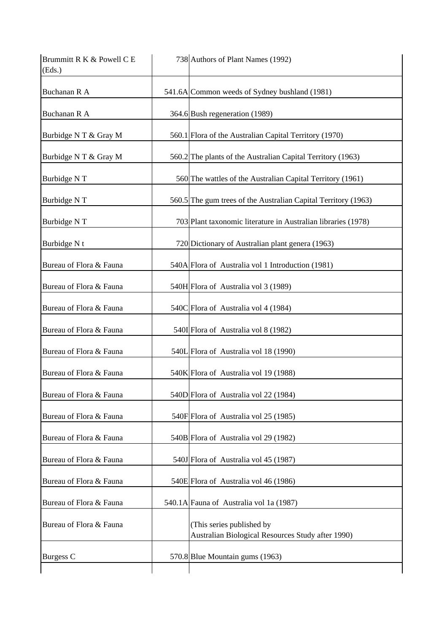| Brummitt R K & Powell C E<br>(Eds.) | 738 Authors of Plant Names (1992)                                              |
|-------------------------------------|--------------------------------------------------------------------------------|
| Buchanan R A                        | 541.6A Common weeds of Sydney bushland (1981)                                  |
| Buchanan R A                        | 364.6 Bush regeneration (1989)                                                 |
| Burbidge N T & Gray M               | 560.1 Flora of the Australian Capital Territory (1970)                         |
| Burbidge N T & Gray M               | 560.2 The plants of the Australian Capital Territory (1963)                    |
| Burbidge NT                         | 560 The wattles of the Australian Capital Territory (1961)                     |
| Burbidge NT                         | 560.5 The gum trees of the Australian Capital Territory (1963)                 |
| Burbidge NT                         | 703 Plant taxonomic literature in Australian libraries (1978)                  |
| Burbidge N t                        | 720 Dictionary of Australian plant genera (1963)                               |
| Bureau of Flora & Fauna             | 540A Flora of Australia vol 1 Introduction (1981)                              |
| Bureau of Flora & Fauna             | 540H Flora of Australia vol 3 (1989)                                           |
| Bureau of Flora & Fauna             | 540C Flora of Australia vol 4 (1984)                                           |
| Bureau of Flora & Fauna             | 540I Flora of Australia vol 8 (1982)                                           |
| Bureau of Flora & Fauna             | 540L Flora of Australia vol 18 (1990)                                          |
| Bureau of Flora & Fauna             | 540K Flora of Australia vol 19 (1988)                                          |
| Bureau of Flora & Fauna             | 540D Flora of Australia vol 22 (1984)                                          |
| Bureau of Flora & Fauna             | 540F Flora of Australia vol 25 (1985)                                          |
| Bureau of Flora & Fauna             | 540B Flora of Australia vol 29 (1982)                                          |
| Bureau of Flora & Fauna             | 540J Flora of Australia vol 45 (1987)                                          |
| Bureau of Flora & Fauna             | 540E Flora of Australia vol 46 (1986)                                          |
| Bureau of Flora & Fauna             | 540.1A Fauna of Australia vol 1a (1987)                                        |
| Bureau of Flora & Fauna             | (This series published by<br>Australian Biological Resources Study after 1990) |
| Burgess C                           | 570.8 Blue Mountain gums (1963)                                                |
|                                     |                                                                                |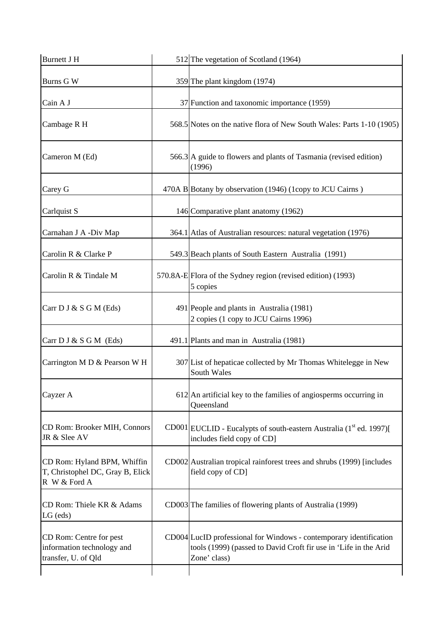| <b>Burnett J H</b>                                                              | 512 The vegetation of Scotland (1964)                                                                                                                  |
|---------------------------------------------------------------------------------|--------------------------------------------------------------------------------------------------------------------------------------------------------|
| Burns G W                                                                       | 359 The plant kingdom (1974)                                                                                                                           |
| Cain A J                                                                        | 37 Function and taxonomic importance (1959)                                                                                                            |
| Cambage R H                                                                     | 568.5 Notes on the native flora of New South Wales: Parts 1-10 (1905)                                                                                  |
| Cameron M (Ed)                                                                  | 566.3 A guide to flowers and plants of Tasmania (revised edition)<br>(1996)                                                                            |
| Carey G                                                                         | 470A B Botany by observation (1946) (1copy to JCU Cairns)                                                                                              |
| Carlquist S                                                                     | 146 Comparative plant anatomy (1962)                                                                                                                   |
| Carnahan J A -Div Map                                                           | 364.1 Atlas of Australian resources: natural vegetation (1976)                                                                                         |
| Carolin R & Clarke P                                                            | 549.3 Beach plants of South Eastern Australia (1991)                                                                                                   |
| Carolin R & Tindale M                                                           | 570.8A-E Flora of the Sydney region (revised edition) (1993)<br>5 copies                                                                               |
| Carr D J & S G M (Eds)                                                          | 491 People and plants in Australia (1981)<br>2 copies (1 copy to JCU Cairns 1996)                                                                      |
| Carr $D J & S G M$ (Eds)                                                        | 491.1 Plants and man in Australia (1981)                                                                                                               |
| Carrington M D & Pearson W H                                                    | 307 List of hepaticae collected by Mr Thomas Whitelegge in New<br>South Wales                                                                          |
| Cayzer A                                                                        | 612 An artificial key to the families of angiosperms occurring in<br>Queensland                                                                        |
| CD Rom: Brooker MIH, Connors<br>JR & Slee AV                                    | $CD001$ EUCLID - Eucalypts of south-eastern Australia (1 <sup>st</sup> ed. 1997)[<br>includes field copy of CD]                                        |
| CD Rom: Hyland BPM, Whiffin<br>T, Christophel DC, Gray B, Elick<br>R W & Ford A | CD002 Australian tropical rainforest trees and shrubs (1999) [includes<br>field copy of CD]                                                            |
| CD Rom: Thiele KR & Adams<br>$LG$ (eds)                                         | CD003 <sup>The families of flowering plants of Australia (1999)</sup>                                                                                  |
| CD Rom: Centre for pest<br>information technology and<br>transfer, U. of Qld    | CD004 LucID professional for Windows - contemporary identification<br>tools (1999) (passed to David Croft fir use in 'Life in the Arid<br>Zone' class) |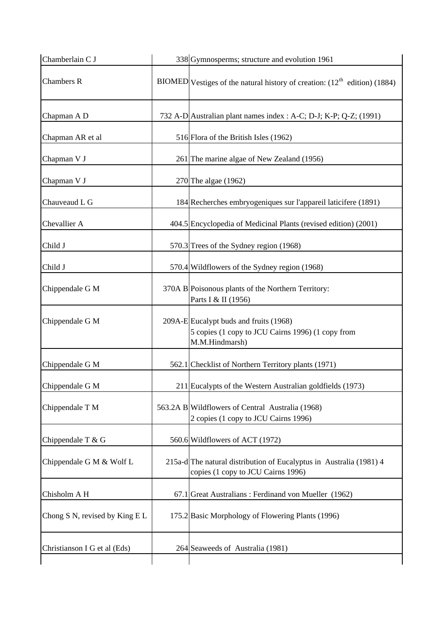| Chamberlain C J                | 338 Gymnosperms; structure and evolution 1961                                                                 |
|--------------------------------|---------------------------------------------------------------------------------------------------------------|
| <b>Chambers R</b>              | BIOMED Vestiges of the natural history of creation: $(12th$ edition) (1884)                                   |
| Chapman A D                    | 732 A-D Australian plant names index : A-C; D-J; K-P; Q-Z; (1991)                                             |
| Chapman AR et al               | 516 Flora of the British Isles (1962)                                                                         |
| Chapman V J                    | 261 The marine algae of New Zealand (1956)                                                                    |
| Chapman V J                    | 270 The algae (1962)                                                                                          |
| Chauveaud L G                  | 184 Recherches embryogeniques sur l'appareil laticifere (1891)                                                |
| Chevallier A                   | 404.5 Encyclopedia of Medicinal Plants (revised edition) (2001)                                               |
| Child J                        | 570.3 Trees of the Sydney region (1968)                                                                       |
| Child J                        | 570.4 Wildflowers of the Sydney region (1968)                                                                 |
| Chippendale G M                | 370A B Poisonous plants of the Northern Territory:<br>Parts I & II (1956)                                     |
| Chippendale G M                | 209A-E Eucalypt buds and fruits (1968)<br>5 copies (1 copy to JCU Cairns 1996) (1 copy from<br>M.M.Hindmarsh) |
| Chippendale G M                | 562.1 Checklist of Northern Territory plants (1971)                                                           |
| Chippendale G M                | 211 Eucalypts of the Western Australian goldfields (1973)                                                     |
| Chippendale T M                | 563.2A B Wildflowers of Central Australia (1968)<br>2 copies (1 copy to JCU Cairns 1996)                      |
| Chippendale T & G              | 560.6 Wildflowers of ACT (1972)                                                                               |
| Chippendale G M & Wolf L       | 215a-d The natural distribution of Eucalyptus in Australia (1981) 4<br>copies (1 copy to JCU Cairns 1996)     |
| Chisholm A H                   | 67.1 Great Australians: Ferdinand von Mueller (1962)                                                          |
| Chong S N, revised by King E L | 175.2 Basic Morphology of Flowering Plants (1996)                                                             |
| Christianson I G et al (Eds)   | 264 Seaweeds of Australia (1981)                                                                              |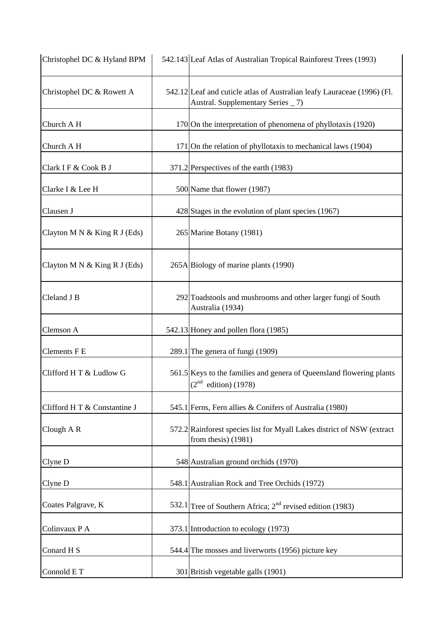| Christophel DC & Hyland BPM  | 542.143 Leaf Atlas of Australian Tropical Rainforest Trees (1993)                                            |
|------------------------------|--------------------------------------------------------------------------------------------------------------|
| Christophel DC & Rowett A    | 542.12 Leaf and cuticle atlas of Australian leafy Lauraceae (1996) (Fl.<br>Austral. Supplementary Series _7) |
| Church A H                   | 170 On the interpretation of phenomena of phyllotaxis (1920)                                                 |
| Church A H                   | 171 On the relation of phyllotaxis to mechanical laws (1904)                                                 |
| Clark I F & Cook B J         | 371.2 Perspectives of the earth (1983)                                                                       |
| Clarke I & Lee H             | 500 Name that flower (1987)                                                                                  |
| Clausen J                    | 428 Stages in the evolution of plant species (1967)                                                          |
| Clayton M N & King R J (Eds) | 265 Marine Botany (1981)                                                                                     |
| Clayton M N & King R J (Eds) | 265A Biology of marine plants (1990)                                                                         |
| Cleland J B                  | 292 Toadstools and mushrooms and other larger fungi of South<br>Australia (1934)                             |
| Clemson A                    | 542.13 Honey and pollen flora (1985)                                                                         |
| <b>Clements F E</b>          | 289.1 The genera of fungi (1909)                                                                             |
| Clifford H T & Ludlow G      | 561.5 Keys to the families and genera of Queensland flowering plants<br>$(2nd$ edition) (1978)               |
| Clifford H T & Constantine J | 545.1 Ferns, Fern allies & Conifers of Australia (1980)                                                      |
| Clough A R                   | 572.2 Rainforest species list for Myall Lakes district of NSW (extract<br>from thesis) $(1981)$              |
| Clyne D                      | 548 Australian ground orchids (1970)                                                                         |
| Clyne D                      | 548.1 Australian Rock and Tree Orchids (1972)                                                                |
| Coates Palgrave, K           | 532.1 Tree of Southern Africa; 2 <sup>nd</sup> revised edition (1983)                                        |
| Colinvaux P A                | 373.1 Introduction to ecology (1973)                                                                         |
| Conard H <sub>S</sub>        | 544.4 The mosses and liverworts (1956) picture key                                                           |
| Connold E T                  | 301 British vegetable galls (1901)                                                                           |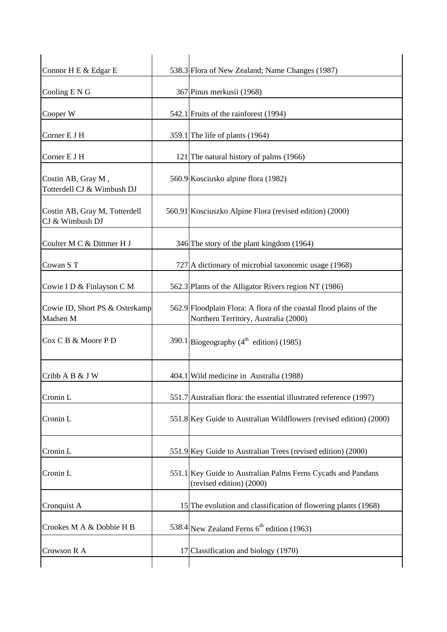| Connor H E & Edgar E                             |    | 538.3 Flora of New Zealand; Name Changes (1987)                                                            |
|--------------------------------------------------|----|------------------------------------------------------------------------------------------------------------|
| Cooling E N G                                    |    | 367 Pinus merkusii (1968)                                                                                  |
| Cooper W                                         |    | 542.1 Fruits of the rainforest (1994)                                                                      |
| Corner E J H                                     |    | 359.1 The life of plants $(1964)$                                                                          |
| Corner E J H                                     |    | 121 The natural history of palms (1966)                                                                    |
| Costin AB, Gray M,<br>Totterdell CJ & Wimbush DJ |    | 560.9 Kosciusko alpine flora (1982)                                                                        |
| Costin AB, Gray M, Totterdell<br>CJ & Wimbush DJ |    | 560.91 Kosciuszko Alpine Flora (revised edition) (2000)                                                    |
| Coulter M C & Dittmer H J                        |    | 346 The story of the plant kingdom (1964)                                                                  |
| Cowan ST                                         |    | 727 A dictionary of microbial taxonomic usage (1968)                                                       |
| Cowie I D & Finlayson C M                        |    | 562.3 Plants of the Alligator Rivers region NT (1986)                                                      |
| Cowie ID, Short PS & Osterkamp<br>Madsen M       |    | 562.9 Floodplain Flora: A flora of the coastal flood plains of the<br>Northern Territory, Australia (2000) |
| Cox C B & Moore P D                              |    | 390.1 Biogeography ( $4^{\text{th}}$ edition) (1985)                                                       |
| Cribb A B & J W                                  |    | 404.1 Wild medicine in Australia (1988)                                                                    |
| Cronin L                                         |    | 551.7 Australian flora: the essential illustrated reference (1997)                                         |
| Cronin L                                         |    | 551.8 Key Guide to Australian Wildflowers (revised edition) (2000)                                         |
| Cronin L                                         |    | 551.9 Key Guide to Australian Trees (revised edition) (2000)                                               |
| Cronin L                                         |    | 551.1 Key Guide to Australian Palms Ferns Cycads and Pandans<br>(revised edition) (2000)                   |
| Cronquist A                                      |    | 15 The evolution and classification of flowering plants (1968)                                             |
| Crookes M A & Dobbie H B                         |    | 538.4 New Zealand Ferns 6 <sup>th</sup> edition (1963)                                                     |
| Crowson R A                                      | 17 | Classification and biology (1970)                                                                          |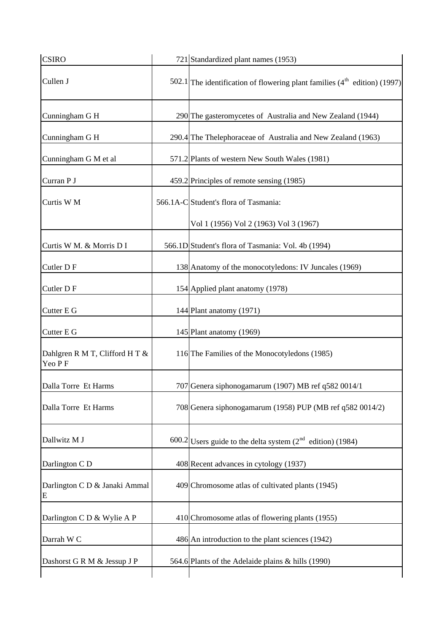| <b>CSIRO</b>                             | 721 Standardized plant names (1953)                                            |
|------------------------------------------|--------------------------------------------------------------------------------|
| Cullen J                                 | 502.1 The identification of flowering plant families $(4^{th}$ edition) (1997) |
| Cunningham G H                           | 290 The gasteromycetes of Australia and New Zealand (1944)                     |
| Cunningham G H                           | 290.4 The Thelephoraceae of Australia and New Zealand (1963)                   |
| Cunningham G M et al                     | 571.2 Plants of western New South Wales (1981)                                 |
| Curran P J                               | 459.2 Principles of remote sensing (1985)                                      |
| Curtis W M                               | 566.1A-C Student's flora of Tasmania:                                          |
|                                          | Vol 1 (1956) Vol 2 (1963) Vol 3 (1967)                                         |
| Curtis W M. & Morris D I                 | 566.1D Student's flora of Tasmania: Vol. 4b (1994)                             |
| Cutler DF                                | 138 Anatomy of the monocotyledons: IV Juncales (1969)                          |
| Cutler DF                                | 154 Applied plant anatomy (1978)                                               |
| Cutter E G                               | 144 Plant anatomy (1971)                                                       |
| Cutter E G                               | 145 Plant anatomy (1969)                                                       |
| Dahlgren R M T, Clifford H T &<br>Yeo PF | 116 The Families of the Monocotyledons (1985)                                  |
| Dalla Torre Et Harms                     | 707 Genera siphonogamarum (1907) MB ref q582 0014/1                            |
| Dalla Torre Et Harms                     | 708 Genera siphonogamarum (1958) PUP (MB ref q582 0014/2)                      |
| Dallwitz M J                             | $600.2$ Users guide to the delta system ( $2nd$ edition) (1984)                |
| Darlington C D                           | 408 Recent advances in cytology (1937)                                         |
| Darlington C D & Janaki Ammal<br>Е       | 409 Chromosome atlas of cultivated plants (1945)                               |
| Darlington C D & Wylie A P               | 410 Chromosome atlas of flowering plants (1955)                                |
| Darrah W C                               | 486 An introduction to the plant sciences (1942)                               |
| Dashorst G R M & Jessup J P              | 564.6 Plants of the Adelaide plains & hills (1990)                             |
|                                          |                                                                                |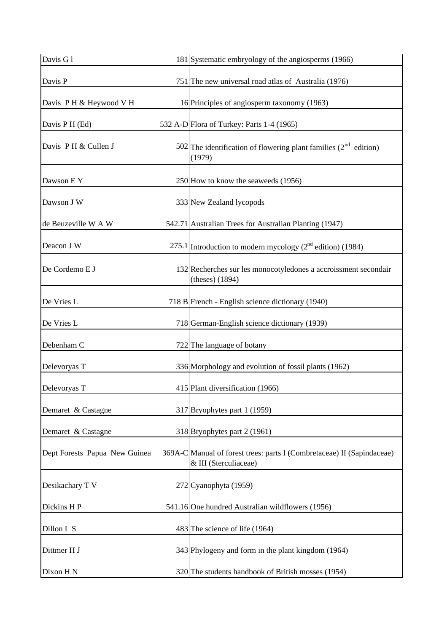| Davis G1                      | 181 Systematic embryology of the angiosperms (1966)                                             |
|-------------------------------|-------------------------------------------------------------------------------------------------|
| Davis P                       | 751 The new universal road atlas of Australia (1976)                                            |
| Davis PH & Heywood V H        | 16 Principles of angiosperm taxonomy (1963)                                                     |
| Davis P H (Ed)                | 532 A-D Flora of Turkey: Parts 1-4 (1965)                                                       |
| Davis P H & Cullen J          | 502 The identification of flowering plant families $(2^{nd}$ edition)<br>(1979)                 |
| Dawson E Y                    | 250 How to know the seaweeds (1956)                                                             |
| Dawson J W                    | 333 New Zealand lycopods                                                                        |
| de Beuzeville W A W           | 542.71 Australian Trees for Australian Planting (1947)                                          |
| Deacon J W                    | $275.1$ Introduction to modern mycology ( $2nd$ edition) (1984)                                 |
| De Cordemo E J                | 132 Recherches sur les monocotyledones a accroissment secondair<br>(theses) $(1894)$            |
| De Vries L                    | 718 B French - English science dictionary (1940)                                                |
| De Vries L                    | 718 German-English science dictionary (1939)                                                    |
| Debenham C                    | 722 The language of botany                                                                      |
| Delevoryas T                  | 336 Morphology and evolution of fossil plants (1962)                                            |
| Delevoryas T                  | 415 Plant diversification (1966)                                                                |
| Demaret & Castagne            | 317 Bryophytes part 1 (1959)                                                                    |
| Demaret & Castagne            | 318 Bryophytes part 2 (1961)                                                                    |
| Dept Forests Papua New Guinea | 369A-C Manual of forest trees: parts I (Combretaceae) II (Sapindaceae)<br>& III (Sterculiaceae) |
| Desikachary T V               | 272 Cyanophyta (1959)                                                                           |
| Dickins HP                    | 541.16 One hundred Australian wildflowers (1956)                                                |
| Dillon L S                    | 483 The science of life (1964)                                                                  |
| Dittmer H J                   | 343 Phylogeny and form in the plant kingdom (1964)                                              |
| Dixon H N                     | 320 The students handbook of British mosses (1954)                                              |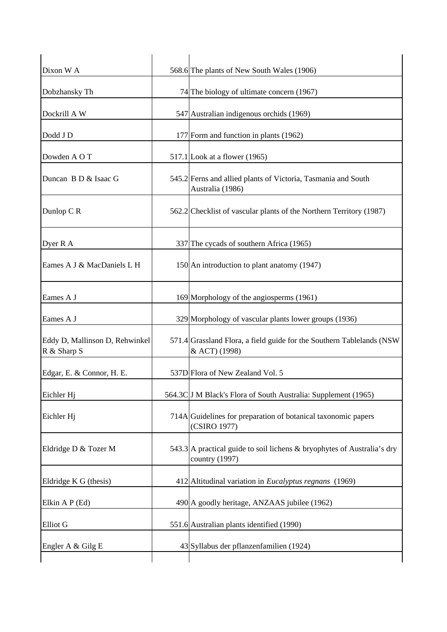| Dixon W A                                     | 568.6 The plants of New South Wales (1906)                                                |
|-----------------------------------------------|-------------------------------------------------------------------------------------------|
| Dobzhansky Th                                 | 74 The biology of ultimate concern (1967)                                                 |
| Dockrill A W                                  | 547 Australian indigenous orchids (1969)                                                  |
| Dodd J D                                      | 177 Form and function in plants (1962)                                                    |
| Dowden A O T                                  | $517.1$ Look at a flower (1965)                                                           |
| Duncan B D & Isaac G                          | 545.2 Ferns and allied plants of Victoria, Tasmania and South<br>Australia (1986)         |
| Dunlop CR                                     | 562.2 Checklist of vascular plants of the Northern Territory (1987)                       |
| Dyer R A                                      | 337 The cycads of southern Africa (1965)                                                  |
| Eames A J & MacDaniels L H                    | 150 An introduction to plant anatomy (1947)                                               |
| Eames A J                                     | 169 Morphology of the angiosperms (1961)                                                  |
| Eames A J                                     | 329 Morphology of vascular plants lower groups (1936)                                     |
| Eddy D, Mallinson D, Rehwinkel<br>R & Sharp S | 571.4 Grassland Flora, a field guide for the Southern Tablelands (NSW<br>& ACT) (1998)    |
| Edgar, E. & Connor, H. E.                     | 537D Flora of New Zealand Vol. 5                                                          |
| Eichler Hj                                    | 564.3C J M Black's Flora of South Australia: Supplement (1965)                            |
| Eichler Hj                                    | 714A Guidelines for preparation of botanical taxonomic papers<br>(CSIRO 1977)             |
| Eldridge D & Tozer M                          | 543.3 A practical guide to soil lichens & bryophytes of Australia's dry<br>country (1997) |
| Eldridge K G (thesis)                         | 412 Altitudinal variation in <i>Eucalyptus regnans</i> (1969)                             |
| Elkin A P (Ed)                                | 490 A goodly heritage, ANZAAS jubilee (1962)                                              |
| Elliot G                                      | 551.6 Australian plants identified (1990)                                                 |
| Engler A & Gilg E                             | 43 Syllabus der pflanzenfamilien (1924)                                                   |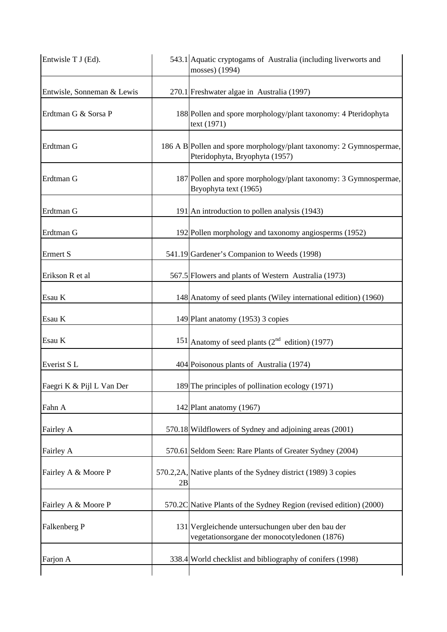| Entwisle T J (Ed).         |    | 543.1 Aquatic cryptogams of Australia (including liverworts and<br>mosses) (1994)                     |
|----------------------------|----|-------------------------------------------------------------------------------------------------------|
| Entwisle, Sonneman & Lewis |    | 270.1 Freshwater algae in Australia (1997)                                                            |
| Erdtman G & Sorsa P        |    | 188 Pollen and spore morphology/plant taxonomy: 4 Pteridophyta<br>text (1971)                         |
| Erdtman G                  |    | 186 A B Pollen and spore morphology/plant taxonomy: 2 Gymnospermae,<br>Pteridophyta, Bryophyta (1957) |
| Erdtman G                  |    | 187 Pollen and spore morphology/plant taxonomy: 3 Gymnospermae,<br>Bryophyta text (1965)              |
| Erdtman G                  |    | 191 An introduction to pollen analysis (1943)                                                         |
| Erdtman G                  |    | 192 Pollen morphology and taxonomy angiosperms (1952)                                                 |
| Ermert S                   |    | 541.19 Gardener's Companion to Weeds (1998)                                                           |
| Erikson R et al            |    | 567.5 Flowers and plants of Western Australia (1973)                                                  |
| Esau K                     |    | 148 Anatomy of seed plants (Wiley international edition) (1960)                                       |
| Esau K                     |    | 149 Plant anatomy (1953) 3 copies                                                                     |
| Esau K                     |    | 151 Anatomy of seed plants $(2^{nd}$ edition) (1977)                                                  |
| Everist S <sub>L</sub>     |    | 404 Poisonous plants of Australia (1974)                                                              |
| Faegri K & Pijl L Van Der  |    | 189 The principles of pollination ecology (1971)                                                      |
| Fahn A                     |    | 142 Plant anatomy (1967)                                                                              |
| Fairley A                  |    | 570.18 Wildflowers of Sydney and adjoining areas (2001)                                               |
| Fairley A                  |    | 570.61 Seldom Seen: Rare Plants of Greater Sydney (2004)                                              |
| Fairley A & Moore P        | 2B | 570.2,2A, Native plants of the Sydney district (1989) 3 copies                                        |
| Fairley A & Moore P        |    | 570.2C Native Plants of the Sydney Region (revised edition) (2000)                                    |
| Falkenberg P               |    | 131 Vergleichende untersuchungen uber den bau der<br>vegetationsorgane der monocotyledonen (1876)     |
| Farjon A                   |    | 338.4 World checklist and bibliography of conifers (1998)                                             |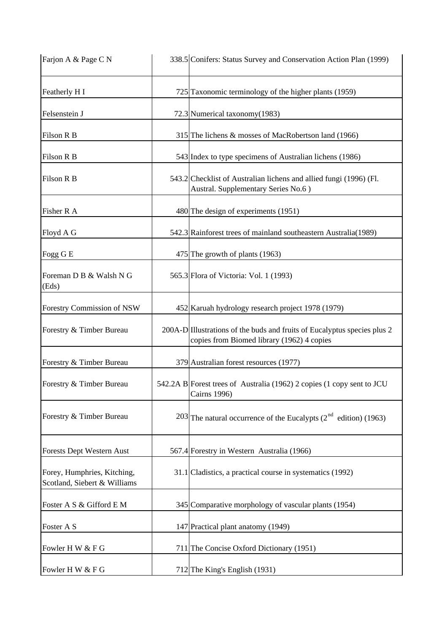| Farjon A & Page C N                                         |     | 338.5 Conifers: Status Survey and Conservation Action Plan (1999)                                                      |
|-------------------------------------------------------------|-----|------------------------------------------------------------------------------------------------------------------------|
| Featherly H I                                               |     | 725 Taxonomic terminology of the higher plants (1959)                                                                  |
| Felsenstein J                                               |     | 72.3 Numerical taxonomy (1983)                                                                                         |
| Filson R B                                                  |     | 315 The lichens & mosses of MacRobertson land (1966)                                                                   |
| Filson R B                                                  |     | 543 Index to type specimens of Australian lichens (1986)                                                               |
| Filson R B                                                  |     | 543.2 Checklist of Australian lichens and allied fungi (1996) (Fl.<br>Austral. Supplementary Series No.6)              |
| Fisher R A                                                  |     | 480 The design of experiments (1951)                                                                                   |
| Floyd A G                                                   |     | 542.3 Rainforest trees of mainland southeastern Australia (1989)                                                       |
| Fogg G E                                                    |     | 475 The growth of plants (1963)                                                                                        |
| Foreman D B & Walsh N G<br>(Eds)                            |     | 565.3 Flora of Victoria: Vol. 1 (1993)                                                                                 |
| Forestry Commission of NSW                                  |     | 452 Karuah hydrology research project 1978 (1979)                                                                      |
| Forestry & Timber Bureau                                    |     | 200A-D Illustrations of the buds and fruits of Eucalyptus species plus 2<br>copies from Biomed library (1962) 4 copies |
| Forestry & Timber Bureau                                    |     | 379 Australian forest resources (1977)                                                                                 |
| Forestry & Timber Bureau                                    |     | 542.2A B Forest trees of Australia (1962) 2 copies (1 copy sent to JCU<br>Cairns 1996)                                 |
| Forestry & Timber Bureau                                    |     | 203 The natural occurrence of the Eucalypts $(2^{nd}$ edition) (1963)                                                  |
| Forests Dept Western Aust                                   |     | 567.4 Forestry in Western Australia (1966)                                                                             |
| Forey, Humphries, Kitching,<br>Scotland, Siebert & Williams |     | 31.1 Cladistics, a practical course in systematics (1992)                                                              |
| Foster A S & Gifford E M                                    |     | 345 Comparative morphology of vascular plants (1954)                                                                   |
| Foster A S                                                  |     | 147 Practical plant anatomy (1949)                                                                                     |
| Fowler H W & F G                                            | 711 | The Concise Oxford Dictionary (1951)                                                                                   |
| Fowler H W & F G                                            |     | 712 The King's English (1931)                                                                                          |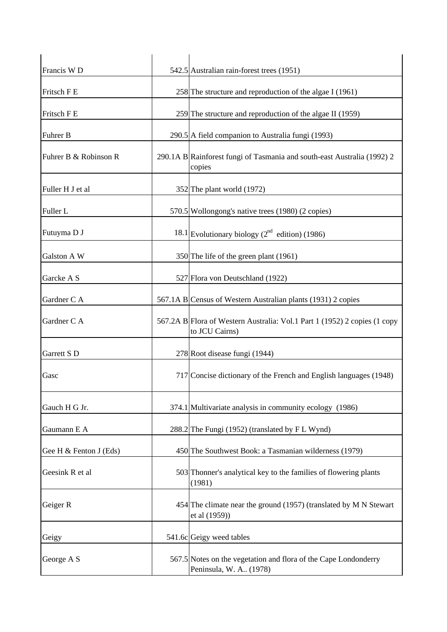| Francis W <sub>D</sub> | 542.5 Australian rain-forest trees (1951)                                                   |
|------------------------|---------------------------------------------------------------------------------------------|
| Fritsch F E            | 258 The structure and reproduction of the algae I $(1961)$                                  |
| Fritsch F E            | 259 The structure and reproduction of the algae II $(1959)$                                 |
| Fuhrer B               | 290.5 A field companion to Australia fungi (1993)                                           |
| Fuhrer B & Robinson R  | 290.1A B Rainforest fungi of Tasmania and south-east Australia (1992) 2<br>copies           |
| Fuller H J et al       | 352 The plant world (1972)                                                                  |
| Fuller L               | 570.5 Wollongong's native trees (1980) (2 copies)                                           |
| Futuyma D J            | 18.1 Evolutionary biology $(2^{nd}$ edition) (1986)                                         |
| Galston A W            | 350 The life of the green plant (1961)                                                      |
| Garcke A S             | 527 Flora von Deutschland (1922)                                                            |
| Gardner C A            | 567.1A B Census of Western Australian plants (1931) 2 copies                                |
| Gardner C A            | 567.2A B Flora of Western Australia: Vol.1 Part 1 (1952) 2 copies (1 copy<br>to JCU Cairns) |
| Garrett S D            | 278 Root disease fungi (1944)                                                               |
| Gasc                   | 717 Concise dictionary of the French and English languages (1948)                           |
| Gauch H G Jr.          | 374.1 Multivariate analysis in community ecology (1986)                                     |
| Gaumann E A            | 288.2 The Fungi (1952) (translated by F L Wynd)                                             |
| Gee H & Fenton J (Eds) | 450 The Southwest Book: a Tasmanian wilderness (1979)                                       |
| Geesink R et al        | 503 Thonner's analytical key to the families of flowering plants<br>(1981)                  |
| Geiger R               | 454 The climate near the ground (1957) (translated by M N Stewart<br>et al (1959))          |
| Geigy                  | 541.6c Geigy weed tables                                                                    |
| George A S             | 567.5 Notes on the vegetation and flora of the Cape Londonderry<br>Peninsula, W. A., (1978) |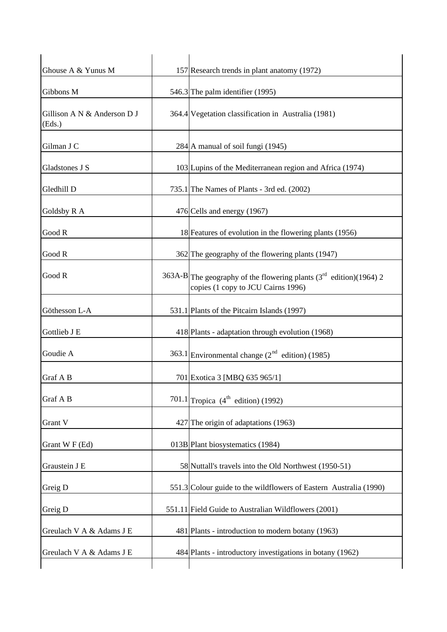| Ghouse A & Yunus M                    | 157 Research trends in plant anatomy (1972)                                                                |
|---------------------------------------|------------------------------------------------------------------------------------------------------------|
| Gibbons M                             | 546.3 The palm identifier (1995)                                                                           |
| Gillison A N & Anderson D J<br>(Eds.) | 364.4 Vegetation classification in Australia (1981)                                                        |
| Gilman J C                            | 284 A manual of soil fungi (1945)                                                                          |
| Gladstones J S                        | 103 Lupins of the Mediterranean region and Africa (1974)                                                   |
| Gledhill D                            | 735.1 The Names of Plants - 3rd ed. (2002)                                                                 |
| Goldsby R A                           | 476 Cells and energy (1967)                                                                                |
| Good R                                | 18 Features of evolution in the flowering plants (1956)                                                    |
| Good R                                | 362 The geography of the flowering plants (1947)                                                           |
| Good R                                | 363A-B The geography of the flowering plants $(3rd$ edition)(1964) 2<br>copies (1 copy to JCU Cairns 1996) |
| Göthesson L-A                         | 531.1 Plants of the Pitcairn Islands (1997)                                                                |
| Gottlieb J E                          | 418 Plants - adaptation through evolution (1968)                                                           |
| Goudie A                              | 363.1 Environmental change $(2^{nd}$ edition) (1985)                                                       |
| Graf A B                              | 701 Exotica 3 [MBQ 635 965/1]                                                                              |
| Graf A B                              | 701.1 Tropica $(4^{\text{th}} \text{ edition})$ (1992)                                                     |
| Grant V                               | 427 The origin of adaptations (1963)                                                                       |
| Grant W F (Ed)                        | 013B Plant biosystematics (1984)                                                                           |
| Graustein J E                         | 58 Nuttall's travels into the Old Northwest (1950-51)                                                      |
| Greig D                               | 551.3 Colour guide to the wildflowers of Eastern Australia (1990)                                          |
| Greig D                               | 551.11 Field Guide to Australian Wildflowers (2001)                                                        |
| Greulach V A & Adams J E              | 481 Plants - introduction to modern botany (1963)                                                          |
| Greulach V A & Adams J E              | 484 Plants - introductory investigations in botany (1962)                                                  |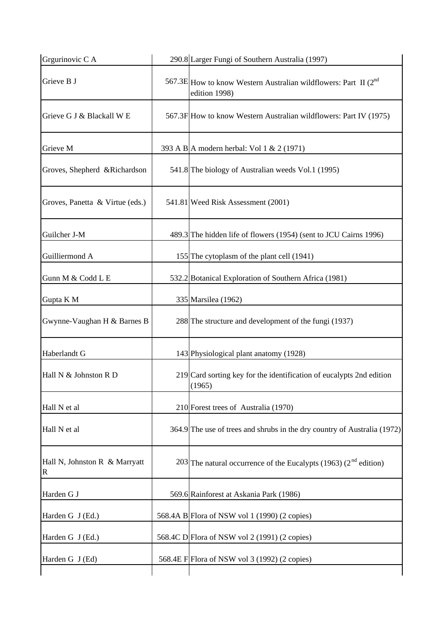| Grgurinovic C A                    | 290.8 Larger Fungi of Southern Australia (1997)                                   |
|------------------------------------|-----------------------------------------------------------------------------------|
| Grieve B J                         | 567.3E How to know Western Australian wildflowers: Part II (2nd)<br>edition 1998) |
| Grieve G J & Blackall W E          | 567.3F How to know Western Australian wildflowers: Part IV (1975)                 |
| Grieve M                           | 393 A B A modern herbal: Vol 1 & 2 (1971)                                         |
| Groves, Shepherd & Richardson      | 541.8 The biology of Australian weeds Vol.1 (1995)                                |
| Groves, Panetta & Virtue (eds.)    | 541.81 Weed Risk Assessment (2001)                                                |
| Guilcher J-M                       | 489.3 The hidden life of flowers (1954) (sent to JCU Cairns 1996)                 |
| Guilliermond A                     | 155 The cytoplasm of the plant cell (1941)                                        |
| Gunn M & Codd L E                  | 532.2 Botanical Exploration of Southern Africa (1981)                             |
| Gupta K M                          | 335 Marsilea (1962)                                                               |
| Gwynne-Vaughan H & Barnes B        | 288 The structure and development of the fungi (1937)                             |
| Haberlandt G                       | 143 Physiological plant anatomy (1928)                                            |
| Hall N & Johnston R D              | 219 Card sorting key for the identification of eucalypts 2nd edition<br>(1965)    |
| Hall N et al                       | 210 Forest trees of Australia (1970)                                              |
| Hall N et al                       | 364.9 The use of trees and shrubs in the dry country of Australia (1972)          |
| Hall N, Johnston R & Marryatt<br>R | 203 The natural occurrence of the Eucalypts (1963) ( $2nd$ edition)               |
| Harden G J                         | 569.6 Rainforest at Askania Park (1986)                                           |
| Harden G J (Ed.)                   | 568.4A B Flora of NSW vol 1 (1990) (2 copies)                                     |
| Harden G J (Ed.)                   | 568.4C D Flora of NSW vol 2 (1991) (2 copies)                                     |
| Harden G J (Ed)                    | 568.4E F Flora of NSW vol 3 (1992) (2 copies)                                     |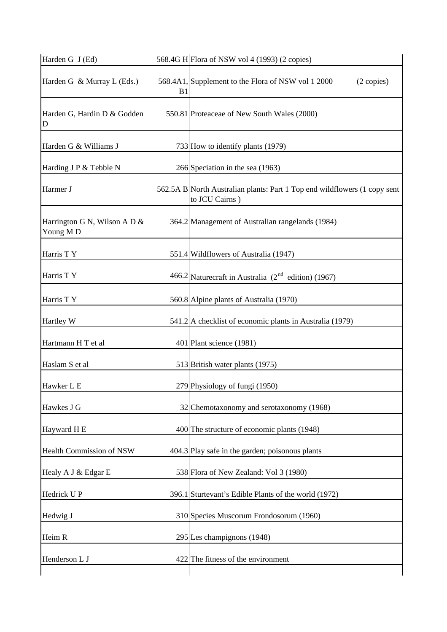| B <sub>1</sub> | 568.4A1, Supplement to the Flora of NSW vol 1 2000<br>(2 copies)                            |
|----------------|---------------------------------------------------------------------------------------------|
|                | 550.81 Proteaceae of New South Wales (2000)                                                 |
|                | 733 How to identify plants (1979)                                                           |
|                | 266 Speciation in the sea (1963)                                                            |
|                | 562.5A B North Australian plants: Part 1 Top end wildflowers (1 copy sent<br>to JCU Cairns) |
|                | 364.2 Management of Australian rangelands (1984)                                            |
|                | 551.4 Wildflowers of Australia (1947)                                                       |
|                | 466.2 Naturecraft in Australia $(2^{nd}$ edition) (1967)                                    |
|                | 560.8 Alpine plants of Australia (1970)                                                     |
|                | 541.2 A checklist of economic plants in Australia (1979)                                    |
|                | 401 Plant science (1981)                                                                    |
|                | 513 British water plants (1975)                                                             |
|                | 279 Physiology of fungi (1950)                                                              |
|                | 32 Chemotaxonomy and serotaxonomy (1968)                                                    |
|                | 400 The structure of economic plants (1948)                                                 |
|                | 404.3 Play safe in the garden; poisonous plants                                             |
|                | 538 Flora of New Zealand: Vol 3 (1980)                                                      |
|                | 396.1 Sturtevant's Edible Plants of the world (1972)                                        |
|                | 310 Species Muscorum Frondosorum (1960)                                                     |
|                | 295 Les champignons (1948)                                                                  |
|                | 422 The fitness of the environment                                                          |
|                |                                                                                             |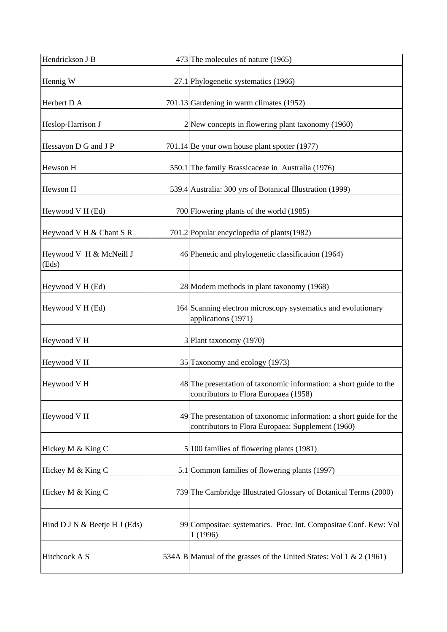| Hendrickson J B                  | 473 The molecules of nature (1965)                                                                                       |
|----------------------------------|--------------------------------------------------------------------------------------------------------------------------|
| Hennig W                         | 27.1 Phylogenetic systematics (1966)                                                                                     |
| Herbert D A                      | 701.13 Gardening in warm climates (1952)                                                                                 |
| Heslop-Harrison J                | 2 New concepts in flowering plant taxonomy (1960)                                                                        |
| Hessayon D G and J P             | 701.14 Be your own house plant spotter (1977)                                                                            |
| Hewson H                         | 550.1 The family Brassicaceae in Australia (1976)                                                                        |
| Hewson H                         | 539.4 Australia: 300 yrs of Botanical Illustration (1999)                                                                |
| Heywood V H (Ed)                 | 700 Flowering plants of the world (1985)                                                                                 |
| Heywood V H & Chant S R          | 701.2 Popular encyclopedia of plants (1982)                                                                              |
| Heywood V H & McNeill J<br>(Eds) | 46 Phenetic and phylogenetic classification (1964)                                                                       |
| Heywood V H (Ed)                 | 28 Modern methods in plant taxonomy (1968)                                                                               |
| Heywood V H (Ed)                 | 164 Scanning electron microscopy systematics and evolutionary<br>applications (1971)                                     |
| Heywood V H                      | 3 Plant taxonomy (1970)                                                                                                  |
| Heywood V H                      | 35 Taxonomy and ecology (1973)                                                                                           |
| Heywood V H                      | 48 The presentation of taxonomic information: a short guide to the<br>contributors to Flora Europaea (1958)              |
| Heywood V H                      | 49 The presentation of taxonomic information: a short guide for the<br>contributors to Flora Europaea: Supplement (1960) |
| Hickey M & King C                | 5 100 families of flowering plants (1981)                                                                                |
| Hickey M & King C                | 5.1 Common families of flowering plants (1997)                                                                           |
| Hickey M & King C                | 739 The Cambridge Illustrated Glossary of Botanical Terms (2000)                                                         |
| Hind D J N & Beetje H J (Eds)    | 99 Compositae: systematics. Proc. Int. Compositae Conf. Kew: Vol<br>1 (1996)                                             |
| Hitchcock A S                    | 534A B Manual of the grasses of the United States: Vol 1 & 2 (1961)                                                      |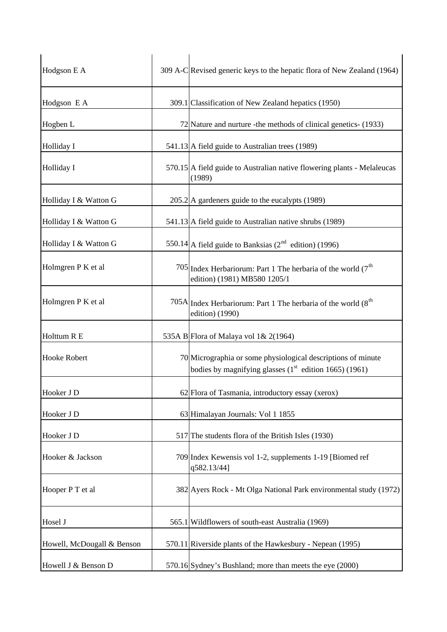| Hodgson E A                | 309 A-C Revised generic keys to the hepatic flora of New Zealand (1964)                                                  |
|----------------------------|--------------------------------------------------------------------------------------------------------------------------|
| Hodgson E A                | 309.1 Classification of New Zealand hepatics (1950)                                                                      |
| Hogben L                   | 72 Nature and nurture - the methods of clinical genetics- (1933)                                                         |
| Holliday I                 | 541.13 A field guide to Australian trees (1989)                                                                          |
| Holliday I                 | 570.15 A field guide to Australian native flowering plants - Melaleucas<br>(1989)                                        |
| Holliday I & Watton G      | $205.2$ A gardeners guide to the eucalypts (1989)                                                                        |
| Holliday I & Watton G      | 541.13 A field guide to Australian native shrubs (1989)                                                                  |
| Holliday I & Watton G      | 550.14 A field guide to Banksias ( $2nd$ edition) (1996)                                                                 |
| Holmgren P K et al         | 705 Index Herbariorum: Part 1 The herbaria of the world $(7th$<br>edition) (1981) MB580 1205/1                           |
| Holmgren P K et al         | 705A Index Herbariorum: Part 1 The herbaria of the world $(8th$<br>edition) (1990)                                       |
| Holttum R E                | 535A B Flora of Malaya vol 1& 2(1964)                                                                                    |
| Hooke Robert               | 70 Micrographia or some physiological descriptions of minute<br>bodies by magnifying glasses $(1st$ edition 1665) (1961) |
| Hooker J D                 | 62 Flora of Tasmania, introductory essay (xerox)                                                                         |
| Hooker J D                 | 63 Himalayan Journals: Vol 1 1855                                                                                        |
| Hooker J D                 | 517 The students flora of the British Isles (1930)                                                                       |
| Hooker & Jackson           | 709 Index Kewensis vol 1-2, supplements 1-19 [Biomed ref<br>q582.13/44]                                                  |
| Hooper P T et al           | 382 Ayers Rock - Mt Olga National Park environmental study (1972)                                                        |
| Hosel J                    | 565.1 Wildflowers of south-east Australia (1969)                                                                         |
| Howell, McDougall & Benson | 570.11 Riverside plants of the Hawkesbury - Nepean (1995)                                                                |
| Howell J & Benson D        | 570.16 Sydney's Bushland; more than meets the eye (2000)                                                                 |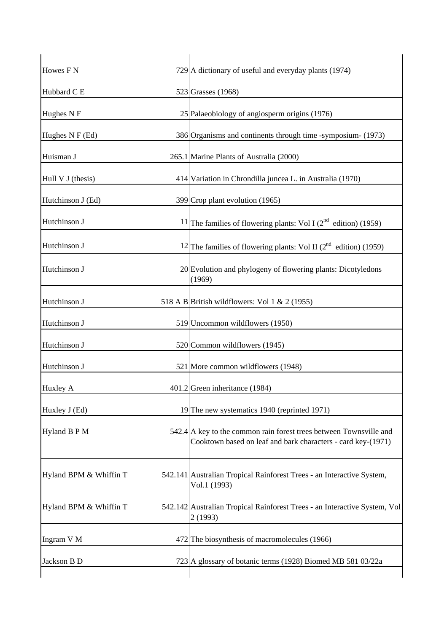| Howes F <sub>N</sub>   | $729$ A dictionary of useful and everyday plants (1974)                                                                            |
|------------------------|------------------------------------------------------------------------------------------------------------------------------------|
| Hubbard C E            | 523 Grasses (1968)                                                                                                                 |
| Hughes N F             | 25 Palaeobiology of angiosperm origins (1976)                                                                                      |
| Hughes N F (Ed)        | 386 Organisms and continents through time -symposium- (1973)                                                                       |
| Huisman J              | 265.1 Marine Plants of Australia (2000)                                                                                            |
| Hull V J (thesis)      | 414 Variation in Chrondilla juncea L. in Australia (1970)                                                                          |
| Hutchinson J (Ed)      | 399 Crop plant evolution (1965)                                                                                                    |
| Hutchinson J           | 11 The families of flowering plants: Vol I $(2^{nd}$ edition) (1959)                                                               |
| Hutchinson J           | <sup>12</sup> The families of flowering plants: Vol II ( $2nd$ edition) (1959)                                                     |
| Hutchinson J           | 20 Evolution and phylogeny of flowering plants: Dicotyledons<br>(1969)                                                             |
| Hutchinson J           | 518 A B British wildflowers: Vol 1 & 2 (1955)                                                                                      |
| Hutchinson J           | 519 Uncommon wildflowers (1950)                                                                                                    |
| Hutchinson J           | 520 Common wildflowers (1945)                                                                                                      |
| Hutchinson J           | 521 More common wildflowers (1948)                                                                                                 |
| Huxley A               | $401.2$ Green inheritance (1984)                                                                                                   |
| Huxley J (Ed)          | 19 The new systematics 1940 (reprinted 1971)                                                                                       |
| Hyland B P M           | 542.4 A key to the common rain forest trees between Townsville and<br>Cooktown based on leaf and bark characters - card key-(1971) |
| Hyland BPM & Whiffin T | 542.141 Australian Tropical Rainforest Trees - an Interactive System,<br>Vol.1 (1993)                                              |
| Hyland BPM & Whiffin T | 542.142 Australian Tropical Rainforest Trees - an Interactive System, Vol<br>2(1993)                                               |
| Ingram V M             | 472 The biosynthesis of macromolecules (1966)                                                                                      |
| Jackson B D            | 723 A glossary of botanic terms (1928) Biomed MB 581 03/22a                                                                        |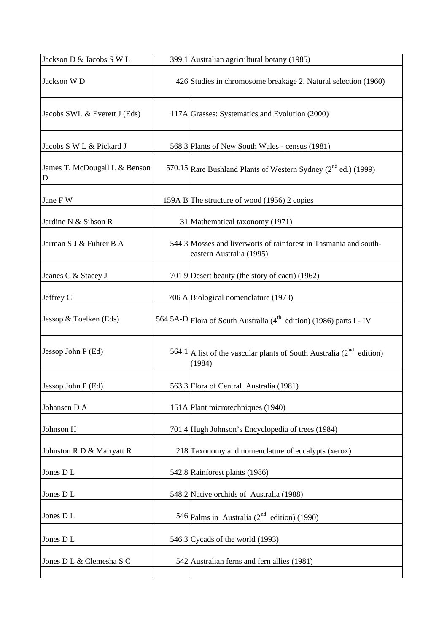| Jackson D & Jacobs S W L           | 399.1 Australian agricultural botany (1985)                                                  |
|------------------------------------|----------------------------------------------------------------------------------------------|
| Jackson W D                        | 426 Studies in chromosome breakage 2. Natural selection (1960)                               |
| Jacobs SWL & Everett J (Eds)       | 117A Grasses: Systematics and Evolution (2000)                                               |
| Jacobs S W L & Pickard J           | 568.3 Plants of New South Wales - census (1981)                                              |
| James T, McDougall L & Benson<br>D | 570.15 Rare Bushland Plants of Western Sydney $(2^{nd}$ ed.) (1999)                          |
| Jane F W                           | 159A B The structure of wood (1956) 2 copies                                                 |
| Jardine N & Sibson R               | 31 Mathematical taxonomy (1971)                                                              |
| Jarman S J & Fuhrer B A            | 544.3 Mosses and liverworts of rainforest in Tasmania and south-<br>eastern Australia (1995) |
| Jeanes C & Stacey J                | 701.9 Desert beauty (the story of cacti) (1962)                                              |
| Jeffrey C                          | 706 A Biological nomenclature (1973)                                                         |
| Jessop & Toelken (Eds)             | 564.5A-D Flora of South Australia (4 <sup>th</sup> edition) (1986) parts I - IV              |
| Jessop John P (Ed)                 | 564.1 A list of the vascular plants of South Australia ( $2nd$ edition)<br>(1984)            |
| Jessop John P (Ed)                 | 563.3 Flora of Central Australia (1981)                                                      |
| Johansen D A                       | 151A Plant microtechniques (1940)                                                            |
| Johnson H                          | 701.4 Hugh Johnson's Encyclopedia of trees (1984)                                            |
| Johnston R D & Marryatt R          | 218 Taxonomy and nomenclature of eucalypts (xerox)                                           |
| Jones DL                           | 542.8 Rainforest plants (1986)                                                               |
| Jones DL                           | 548.2 Native orchids of Australia (1988)                                                     |
| Jones DL                           | 546 Palms in Australia ( $2nd$ edition) (1990)                                               |
| Jones DL                           | 546.3 Cycads of the world (1993)                                                             |
| Jones D L & Clemesha S C           | 542 Australian ferns and fern allies (1981)                                                  |
|                                    |                                                                                              |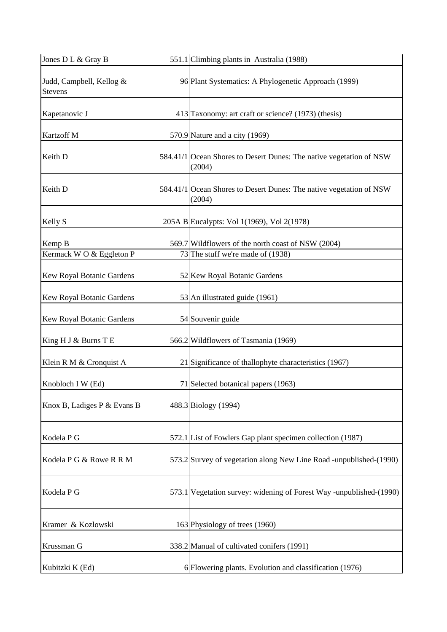| Jones D L & Gray B                  | 551.1 Climbing plants in Australia (1988)                                     |
|-------------------------------------|-------------------------------------------------------------------------------|
| Judd, Campbell, Kellog &<br>Stevens | 96 Plant Systematics: A Phylogenetic Approach (1999)                          |
| Kapetanovic J                       | 413 Taxonomy: art craft or science? (1973) (thesis)                           |
| Kartzoff M                          | 570.9 Nature and a city (1969)                                                |
| Keith D                             | 584.41/1 Ocean Shores to Desert Dunes: The native vegetation of NSW<br>(2004) |
| Keith D                             | 584.41/1 Ocean Shores to Desert Dunes: The native vegetation of NSW<br>(2004) |
| Kelly S                             | 205A B Eucalypts: Vol 1(1969), Vol 2(1978)                                    |
| Kemp B                              | 569.7 Wildflowers of the north coast of NSW (2004)                            |
| Kermack WO & Eggleton P             | 73 The stuff we're made of (1938)                                             |
|                                     |                                                                               |
| Kew Royal Botanic Gardens           | 52 Kew Royal Botanic Gardens                                                  |
| Kew Royal Botanic Gardens           | 53 An illustrated guide (1961)                                                |
| Kew Royal Botanic Gardens           | 54 Souvenir guide                                                             |
| King H J & Burns T E                | 566.2 Wildflowers of Tasmania (1969)                                          |
| Klein R M & Cronquist A             | 21 Significance of thallophyte characteristics (1967)                         |
| Knobloch I W (Ed)                   | 71 Selected botanical papers (1963)                                           |
| Knox B, Ladiges P & Evans B         | 488.3 Biology (1994)                                                          |
| Kodela P G                          | 572.1 List of Fowlers Gap plant specimen collection (1987)                    |
| Kodela P G & Rowe R R M             | 573.2 Survey of vegetation along New Line Road -unpublished-(1990)            |
| Kodela P G                          | 573.1 Vegetation survey: widening of Forest Way -unpublished-(1990)           |
| Kramer & Kozlowski                  | 163 Physiology of trees (1960)                                                |
| Krussman G                          | 338.2 Manual of cultivated conifers (1991)                                    |
| Kubitzki K (Ed)                     | 6 Flowering plants. Evolution and classification (1976)                       |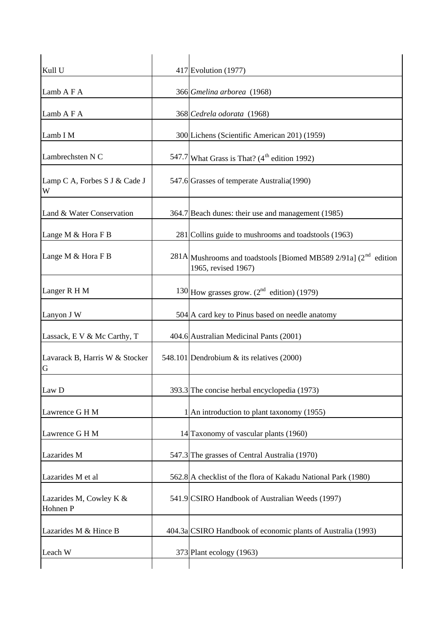| Kull U                              | 417 Evolution (1977)                                                                        |
|-------------------------------------|---------------------------------------------------------------------------------------------|
| Lamb A F A                          | 366 Gmelina arborea (1968)                                                                  |
| Lamb A F A                          | 368 Cedrela odorata (1968)                                                                  |
| Lamb I M                            | 300 Lichens (Scientific American 201) (1959)                                                |
| Lambrechsten N C                    | 547.7 What Grass is That? $(4th$ edition 1992)                                              |
| Lamp C A, Forbes S J & Cade J<br>W  | 547.6 Grasses of temperate Australia(1990)                                                  |
| Land & Water Conservation           | 364.7 Beach dunes: their use and management (1985)                                          |
| Lange M & Hora F B                  | 281 Collins guide to mushrooms and toadstools (1963)                                        |
| Lange M & Hora F B                  | $281A$ Mushrooms and toadstools [Biomed MB589 2/91a] ( $2nd$ edition<br>1965, revised 1967) |
| Langer R H M                        | 130 How grasses grow. $(2^{nd}$ edition) (1979)                                             |
| Lanyon J W                          | 504 A card key to Pinus based on needle anatomy                                             |
| Lassack, E V & Mc Carthy, T         | 404.6 Australian Medicinal Pants (2001)                                                     |
| Lavarack B, Harris W & Stocker<br>G | 548.101 Dendrobium & its relatives (2000)                                                   |
| Law D                               | 393.3 The concise herbal encyclopedia (1973)                                                |
| Lawrence G H M                      | 1 An introduction to plant taxonomy (1955)                                                  |
| Lawrence G H M                      | 14 Taxonomy of vascular plants (1960)                                                       |
| Lazarides M                         | 547.3 The grasses of Central Australia (1970)                                               |
| Lazarides M et al                   | 562.8 A checklist of the flora of Kakadu National Park (1980)                               |
| Lazarides M, Cowley K &<br>Hohnen P | 541.9 CSIRO Handbook of Australian Weeds (1997)                                             |
| Lazarides M & Hince B               | 404.3a CSIRO Handbook of economic plants of Australia (1993)                                |
| Leach W                             | 373 Plant ecology (1963)                                                                    |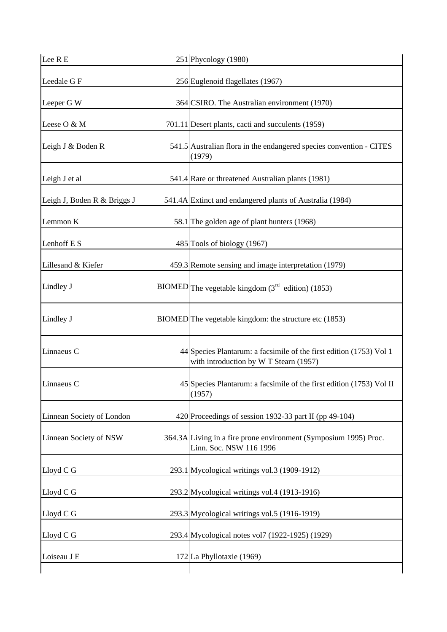| Lee R E                     | 251 Phycology (1980)                                                                                          |
|-----------------------------|---------------------------------------------------------------------------------------------------------------|
| Leedale G F                 | 256 Euglenoid flagellates (1967)                                                                              |
| Leeper G W                  | 364 CSIRO. The Australian environment (1970)                                                                  |
| Leese O & M                 | 701.11 Desert plants, cacti and succulents (1959)                                                             |
| Leigh J & Boden R           | 541.5 Australian flora in the endangered species convention - CITES<br>(1979)                                 |
| Leigh J et al               | 541.4 Rare or threatened Australian plants (1981)                                                             |
| Leigh J, Boden R & Briggs J | 541.4A Extinct and endangered plants of Australia (1984)                                                      |
| Lemmon K                    | 58.1 The golden age of plant hunters (1968)                                                                   |
| Lenhoff E S                 | 485 Tools of biology (1967)                                                                                   |
| Lillesand & Kiefer          | 459.3 Remote sensing and image interpretation (1979)                                                          |
| Lindley J                   | BIOMED The vegetable kingdom $(3rd$ edition) (1853)                                                           |
| Lindley J                   | BIOMED The vegetable kingdom: the structure etc (1853)                                                        |
| Linnaeus C                  | 44 Species Plantarum: a facsimile of the first edition (1753) Vol 1<br>with introduction by W T Stearn (1957) |
| Linnaeus C                  | 45 Species Plantarum: a facsimile of the first edition (1753) Vol II<br>(1957)                                |
| Linnean Society of London   | 420 Proceedings of session 1932-33 part II (pp 49-104)                                                        |
| Linnean Society of NSW      | 364.3A Living in a fire prone environment (Symposium 1995) Proc.<br>Linn. Soc. NSW 116 1996                   |
| Lloyd C G                   | 293.1 Mycological writings vol.3 (1909-1912)                                                                  |
| Lloyd C G                   | 293.2 Mycological writings vol.4 (1913-1916)                                                                  |
| Lloyd C G                   | 293.3 Mycological writings vol.5 (1916-1919)                                                                  |
| Lloyd C G                   | 293.4 Mycological notes vol7 (1922-1925) (1929)                                                               |
| Loiseau J E                 | 172 La Phyllotaxie (1969)                                                                                     |
|                             |                                                                                                               |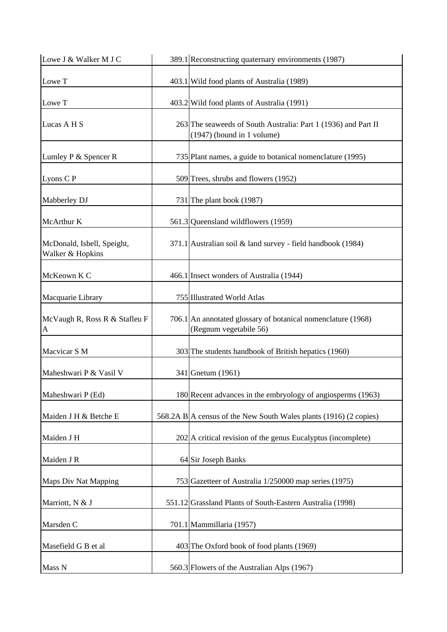| Lowe J & Walker M J C                          | 389.1 Reconstructing quaternary environments (1987)                                            |
|------------------------------------------------|------------------------------------------------------------------------------------------------|
| Lowe T                                         | 403.1 Wild food plants of Australia (1989)                                                     |
| Lowe T                                         | 403.2 Wild food plants of Australia (1991)                                                     |
| Lucas A H S                                    | 263 The seaweeds of South Australia: Part 1 (1936) and Part II<br>$(1947)$ (bound in 1 volume) |
| Lumley P & Spencer R                           | 735 Plant names, a guide to botanical nomenclature (1995)                                      |
| Lyons C P                                      | 509 Trees, shrubs and flowers (1952)                                                           |
| Mabberley DJ                                   | 731 The plant book (1987)                                                                      |
| McArthur K                                     | 561.3 Queensland wildflowers (1959)                                                            |
| McDonald, Isbell, Speight,<br>Walker & Hopkins | 371.1 Australian soil & land survey - field handbook (1984)                                    |
| McKeown K C                                    | 466.1 Insect wonders of Australia (1944)                                                       |
| Macquarie Library                              | 755 Illustrated World Atlas                                                                    |
| McVaugh R, Ross R & Stafleu F<br>A             | 706.1 An annotated glossary of botanical nomenclature (1968)<br>(Regnum vegetabile 56)         |
| Macvicar S M                                   | 303 The students handbook of British hepatics (1960)                                           |
| Maheshwari P & Vasil V                         | 341 Gnetum (1961)                                                                              |
| Maheshwari P (Ed)                              | 180 Recent advances in the embryology of angiosperms (1963)                                    |
| Maiden J H & Betche E                          | 568.2A B A census of the New South Wales plants (1916) (2 copies)                              |
| Maiden J H                                     | 202 A critical revision of the genus Eucalyptus (incomplete)                                   |
| Maiden J R                                     | 64 Sir Joseph Banks                                                                            |
| <b>Maps Div Nat Mapping</b>                    | 753 Gazetteer of Australia 1/250000 map series (1975)                                          |
| Marriott, N & J                                | 551.12 Grassland Plants of South-Eastern Australia (1998)                                      |
| Marsden C                                      | 701.1 Mammillaria (1957)                                                                       |
| Masefield G B et al                            | 403 The Oxford book of food plants (1969)                                                      |
| Mass N                                         | 560.3 Flowers of the Australian Alps (1967)                                                    |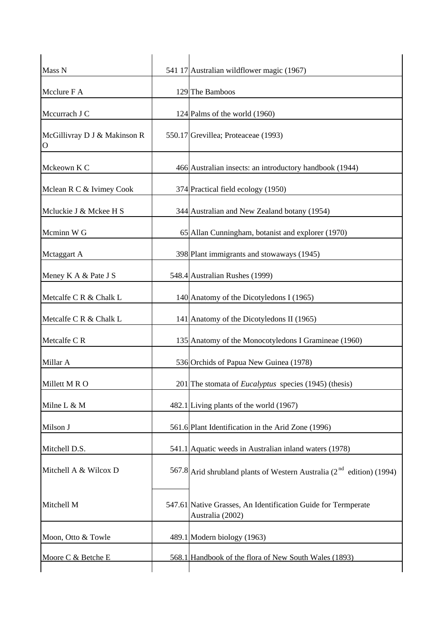| Mass N                                      | 541 17 Australian wildflower magic (1967)                                         |
|---------------------------------------------|-----------------------------------------------------------------------------------|
| Mcclure F A                                 | 129 The Bamboos                                                                   |
| Mccurrach J C                               | 124 Palms of the world (1960)                                                     |
| McGillivray D J & Makinson R<br>$\mathbf O$ | 550.17 Grevillea; Proteaceae (1993)                                               |
| Mckeown K C                                 | 466 Australian insects: an introductory handbook (1944)                           |
| Mclean R C & Ivimey Cook                    | 374 Practical field ecology (1950)                                                |
| Mcluckie J & Mckee H S                      | 344 Australian and New Zealand botany (1954)                                      |
| Mcminn W G                                  | 65 Allan Cunningham, botanist and explorer (1970)                                 |
| Mctaggart A                                 | 398 Plant immigrants and stowaways (1945)                                         |
| Meney K A & Pate J S                        | 548.4 Australian Rushes (1999)                                                    |
| Metcalfe C R & Chalk L                      | 140 Anatomy of the Dicotyledons I (1965)                                          |
| Metcalfe C R & Chalk L                      | 141 Anatomy of the Dicotyledons II (1965)                                         |
| Metcalfe CR                                 | 135 Anatomy of the Monocotyledons I Gramineae (1960)                              |
| Millar A                                    | 536 Orchids of Papua New Guinea (1978)                                            |
| Millett M R O                               | 201 The stomata of <i>Eucalyptus</i> species $(1945)$ (thesis)                    |
| Milne L & M                                 | 482.1 Living plants of the world (1967)                                           |
| Milson J                                    | 561.6 Plant Identification in the Arid Zone (1996)                                |
| Mitchell D.S.                               | 541.1 Aquatic weeds in Australian inland waters (1978)                            |
| Mitchell A & Wilcox D                       | 567.8 Arid shrubland plants of Western Australia $(2^{nd}$ edition) (1994)        |
| Mitchell M                                  | 547.61 Native Grasses, An Identification Guide for Termperate<br>Australia (2002) |
| Moon, Otto & Towle                          | 489.1 Modern biology (1963)                                                       |
| Moore C & Betche E                          | 568.1 Handbook of the flora of New South Wales (1893)                             |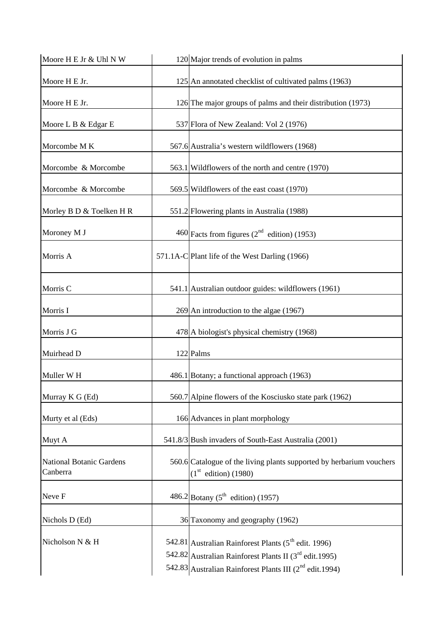| Moore H E Jr & Uhl N W                      | 120 Major trends of evolution in palms                                                                                                                                                     |
|---------------------------------------------|--------------------------------------------------------------------------------------------------------------------------------------------------------------------------------------------|
| Moore H E Jr.                               | 125 An annotated checklist of cultivated palms (1963)                                                                                                                                      |
| Moore H E Jr.                               | 126 The major groups of palms and their distribution (1973)                                                                                                                                |
| Moore L B & Edgar E                         | 537 Flora of New Zealand: Vol 2 (1976)                                                                                                                                                     |
| Morcombe M K                                | 567.6 Australia's western wildflowers (1968)                                                                                                                                               |
| Morcombe & Morcombe                         | 563.1 Wildflowers of the north and centre (1970)                                                                                                                                           |
| Morcombe & Morcombe                         | 569.5 Wildflowers of the east coast (1970)                                                                                                                                                 |
| Morley B D & Toelken H R                    | 551.2 Flowering plants in Australia (1988)                                                                                                                                                 |
| Moroney M J                                 | 460 Facts from figures $(2^{nd}$ edition) (1953)                                                                                                                                           |
| Morris A                                    | 571.1A-C Plant life of the West Darling (1966)                                                                                                                                             |
| Morris C                                    | 541.1 Australian outdoor guides: wildflowers (1961)                                                                                                                                        |
| Morris I                                    | 269 An introduction to the algae (1967)                                                                                                                                                    |
| Morris J G                                  | 478 A biologist's physical chemistry (1968)                                                                                                                                                |
| Muirhead D                                  | 122 Palms                                                                                                                                                                                  |
| Muller W H                                  | 486.1 Botany; a functional approach (1963)                                                                                                                                                 |
| Murray K G (Ed)                             | 560.7 Alpine flowers of the Kosciusko state park (1962)                                                                                                                                    |
| Murty et al (Eds)                           | 166 Advances in plant morphology                                                                                                                                                           |
| Muyt A                                      | 541.8/3 Bush invaders of South-East Australia (2001)                                                                                                                                       |
| <b>National Botanic Gardens</b><br>Canberra | 560.6 Catalogue of the living plants supported by herbarium vouchers<br>(1 <sup>st</sup> edition) (1980)                                                                                   |
| Neve F                                      | 486.2 Botany ( $5^{\text{th}}$ edition) (1957)                                                                                                                                             |
| Nichols D (Ed)                              | 36 Taxonomy and geography (1962)                                                                                                                                                           |
| Nicholson N & H                             | 542.81 Australian Rainforest Plants ( $5th$ edit. 1996)<br>542.82 Australian Rainforest Plants II $(3rd$ edit.1995)<br>542.83 Australian Rainforest Plants III (2 <sup>nd</sup> edit.1994) |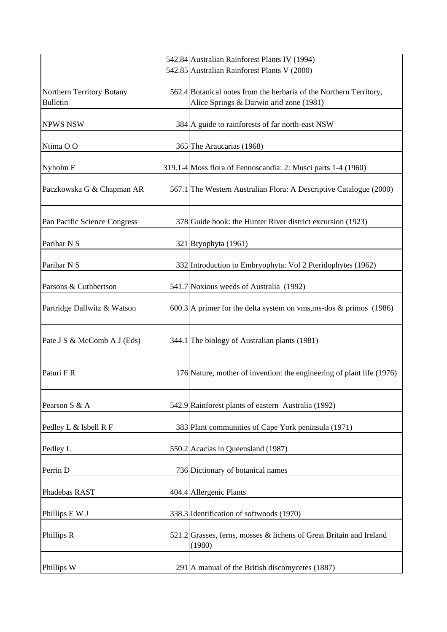|                                              | 542.84 Australian Rainforest Plants IV (1994)<br>542.85 Australian Rainforest Plants V (2000)                 |
|----------------------------------------------|---------------------------------------------------------------------------------------------------------------|
| Northern Territory Botany<br><b>Bulletin</b> | 562.4 Botanical notes from the herbaria of the Northern Territory,<br>Alice Springs & Darwin arid zone (1981) |
| <b>NPWS NSW</b>                              | 384 A guide to rainforests of far north-east NSW                                                              |
| Ntima OO                                     | 365 The Araucarias (1968)                                                                                     |
| Nyholm E                                     | 319.1-4 Moss flora of Fennoscandia: 2: Musci parts 1-4 (1960)                                                 |
| Paczkowska G & Chapman AR                    | 567.1 The Western Australian Flora: A Descriptive Catalogue (2000)                                            |
| Pan Pacific Science Congress                 | 378 Guide book: the Hunter River district excursion (1923)                                                    |
| Parihar N S                                  | 321 Bryophyta (1961)                                                                                          |
| Parihar N S                                  | 332 Introduction to Embryophyta: Vol 2 Pteridophytes (1962)                                                   |
| Parsons & Cuthbertson                        | 541.7 Noxious weeds of Australia (1992)                                                                       |
| Partridge Dallwitz & Watson                  | 600.3 A primer for the delta system on vms, ms-dos & primos $(1986)$                                          |
| Pate J S & McComb A J (Eds)                  | 344.1 The biology of Australian plants (1981)                                                                 |
| Paturi F R                                   | 176 Nature, mother of invention: the engineering of plant life (1976)                                         |
| Pearson S & A                                | 542.9 Rainforest plants of eastern Australia (1992)                                                           |
| Pedley L & Isbell R F                        | 383 Plant communities of Cape York peninsula (1971)                                                           |
| Pedley L                                     | 550.2 Acacias in Queensland (1987)                                                                            |
| Perrin D                                     | 736 Dictionary of botanical names                                                                             |
| Phadebas RAST                                | 404.4 Allergenic Plants                                                                                       |
| Phillips E W J                               | 338.3 Identification of softwoods (1970)                                                                      |
| Phillips R                                   | 521.2 Grasses, ferns, mosses & lichens of Great Britain and Ireland<br>(1980)                                 |
| Phillips W                                   | 291 A manual of the British discomycetes (1887)                                                               |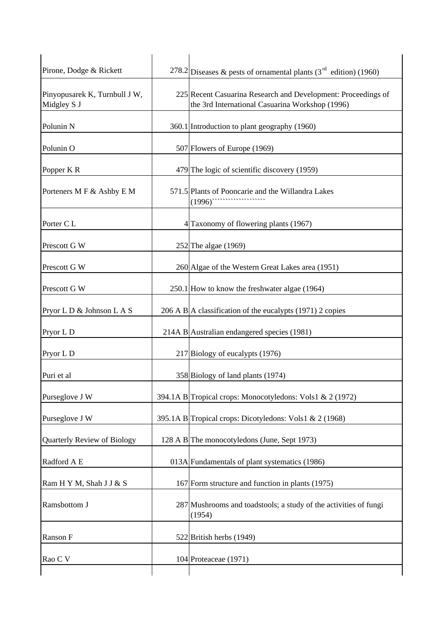| Pirone, Dodge & Rickett                      | 278.2 Diseases & pests of ornamental plants ( $3rd$ edition) (1960)                                                                                                                                                                                                                                                                                                                          |
|----------------------------------------------|----------------------------------------------------------------------------------------------------------------------------------------------------------------------------------------------------------------------------------------------------------------------------------------------------------------------------------------------------------------------------------------------|
| Pinyopusarek K, Turnbull J W,<br>Midgley S J | 225 Recent Casuarina Research and Development: Proceedings of<br>the 3rd International Casuarina Workshop (1996)                                                                                                                                                                                                                                                                             |
| Polunin <sub>N</sub>                         | 360.1 Introduction to plant geography (1960)                                                                                                                                                                                                                                                                                                                                                 |
| Polunin O                                    | 507 Flowers of Europe (1969)                                                                                                                                                                                                                                                                                                                                                                 |
| Popper K R                                   | 479 The logic of scientific discovery (1959)                                                                                                                                                                                                                                                                                                                                                 |
| Porteners M F & Ashby E M                    | 571.5 Plants of Pooncarie and the Willandra Lakes<br>$(1996)$ $\cdots$ $\cdots$ $\cdots$ $\cdots$ $\cdots$ $\cdots$ $\cdots$ $\cdots$ $\cdots$ $\cdots$ $\cdots$ $\cdots$ $\cdots$ $\cdots$ $\cdots$ $\cdots$ $\cdots$ $\cdots$ $\cdots$ $\cdots$ $\cdots$ $\cdots$ $\cdots$ $\cdots$ $\cdots$ $\cdots$ $\cdots$ $\cdots$ $\cdots$ $\cdots$ $\cdots$ $\cdots$ $\cdots$ $\cdots$ $\cdots$ $\$ |
| Porter C L                                   | 4 Taxonomy of flowering plants (1967)                                                                                                                                                                                                                                                                                                                                                        |
| Prescott G W                                 | 252 The algae (1969)                                                                                                                                                                                                                                                                                                                                                                         |
| Prescott G W                                 | 260 Algae of the Western Great Lakes area (1951)                                                                                                                                                                                                                                                                                                                                             |
| Prescott G W                                 | 250.1 How to know the freshwater algae (1964)                                                                                                                                                                                                                                                                                                                                                |
| Pryor L D & Johnson L A S                    | 206 A B A classification of the eucalypts $(1971)$ 2 copies                                                                                                                                                                                                                                                                                                                                  |
| Pryor L D                                    | 214A B Australian endangered species (1981)                                                                                                                                                                                                                                                                                                                                                  |
| Pryor L D                                    | 217 Biology of eucalypts (1976)                                                                                                                                                                                                                                                                                                                                                              |
| Puri et al                                   | 358 Biology of land plants (1974)                                                                                                                                                                                                                                                                                                                                                            |
| Purseglove J W                               | 394.1A B Tropical crops: Monocotyledons: Vols1 & 2 (1972)                                                                                                                                                                                                                                                                                                                                    |
| Purseglove J W                               | 395.1A B Tropical crops: Dicotyledons: Vols1 & 2 (1968)                                                                                                                                                                                                                                                                                                                                      |
| Quarterly Review of Biology                  | 128 A B The monocotyledons (June, Sept 1973)                                                                                                                                                                                                                                                                                                                                                 |
| Radford A E                                  | 013A Fundamentals of plant systematics (1986)                                                                                                                                                                                                                                                                                                                                                |
| Ram H Y M, Shah J J & S                      | 167 Form structure and function in plants (1975)                                                                                                                                                                                                                                                                                                                                             |
| Ramsbottom J                                 | 287 Mushrooms and toadstools; a study of the activities of fungi<br>(1954)                                                                                                                                                                                                                                                                                                                   |
| Ranson F                                     | 522 British herbs (1949)                                                                                                                                                                                                                                                                                                                                                                     |
| Rao C V                                      | 104 Proteaceae (1971)                                                                                                                                                                                                                                                                                                                                                                        |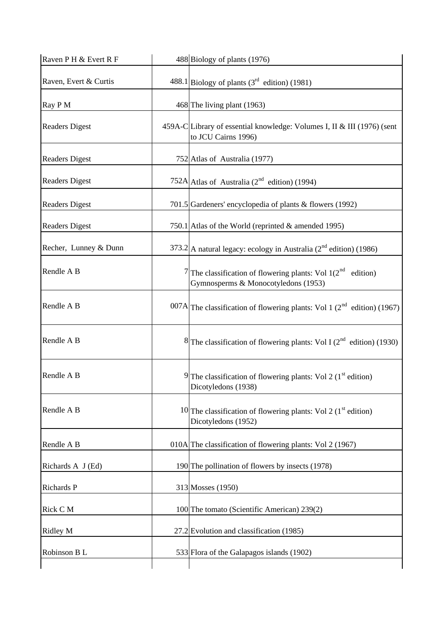| Raven P H & Evert R F | 488 Biology of plants (1976)                                                                                |
|-----------------------|-------------------------------------------------------------------------------------------------------------|
| Raven, Evert & Curtis | 488.1 Biology of plants $(3^{rd}$ edition) (1981)                                                           |
| Ray PM                | 468 The living plant (1963)                                                                                 |
| <b>Readers Digest</b> | 459A-C Library of essential knowledge: Volumes I, II & III (1976) (sent<br>to JCU Cairns 1996)              |
| <b>Readers Digest</b> | 752 Atlas of Australia (1977)                                                                               |
| <b>Readers Digest</b> | 752A Atlas of Australia ( $2nd$ edition) (1994)                                                             |
| <b>Readers Digest</b> | 701.5 Gardeners' encyclopedia of plants & flowers (1992)                                                    |
| <b>Readers Digest</b> | 750.1 Atlas of the World (reprinted & amended 1995)                                                         |
| Recher, Lunney & Dunn | 373.2 A natural legacy: ecology in Australia $(2^{nd}$ edition) (1986)                                      |
| Rendle A B            | 7 The classification of flowering plants: Vol $1(2^{nd}$<br>edition)<br>Gymnosperms & Monocotyledons (1953) |
| Rendle A B            | 007A The classification of flowering plants: Vol 1 $(2^{nd}$ edition) (1967)                                |
| Rendle A B            | <sup>8</sup> The classification of flowering plants: Vol I ( $2nd$ edition) (1930)                          |
| Rendle A B            | 9 The classification of flowering plants: Vol 2 ( $1st$ edition)<br>Dicotyledons (1938)                     |
| Rendle A B            | 10 The classification of flowering plants: Vol 2 ( $1st$ edition)<br>Dicotyledons (1952)                    |
| Rendle A B            | 010A The classification of flowering plants: Vol 2 (1967)                                                   |
| Richards A J (Ed)     | 190 The pollination of flowers by insects (1978)                                                            |
| Richards P            | 313 Mosses (1950)                                                                                           |
| Rick C M              | 100 The tomato (Scientific American) 239(2)                                                                 |
| Ridley M              | 27.2 Evolution and classification (1985)                                                                    |
| Robinson B L          | 533 Flora of the Galapagos islands (1902)                                                                   |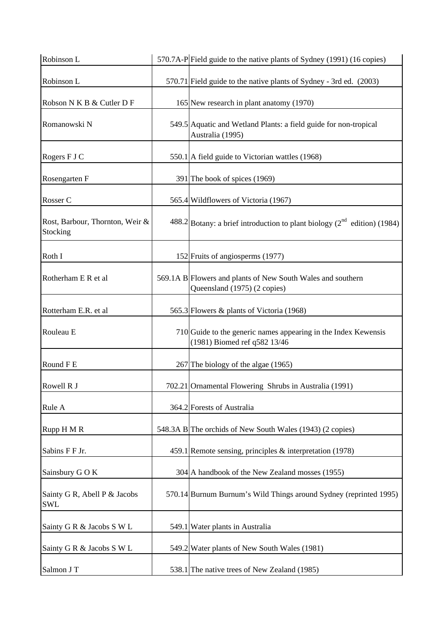| Robinson L                                  | 570.7A-PField guide to the native plants of Sydney (1991) (16 copies)                          |
|---------------------------------------------|------------------------------------------------------------------------------------------------|
| Robinson L                                  | 570.71 Field guide to the native plants of Sydney - 3rd ed. (2003)                             |
| Robson N K B & Cutler D F                   | 165 New research in plant anatomy (1970)                                                       |
| Romanowski N                                | 549.5 Aquatic and Wetland Plants: a field guide for non-tropical<br>Australia (1995)           |
| Rogers F J C                                | 550.1 A field guide to Victorian wattles (1968)                                                |
| Rosengarten F                               | 391 The book of spices (1969)                                                                  |
| Rosser C                                    | 565.4 Wildflowers of Victoria (1967)                                                           |
| Rost, Barbour, Thornton, Weir &<br>Stocking | 488.2 Botany: a brief introduction to plant biology ( $2^{nd}$ edition) (1984)                 |
| Roth I                                      | 152 Fruits of angiosperms (1977)                                                               |
| Rotherham E R et al                         | 569.1A B Flowers and plants of New South Wales and southern<br>Queensland (1975) (2 copies)    |
| Rotterham E.R. et al                        | 565.3 Flowers & plants of Victoria (1968)                                                      |
| Rouleau E                                   | 710 Guide to the generic names appearing in the Index Kewensis<br>(1981) Biomed ref q582 13/46 |
| Round F E                                   | 267 The biology of the algae (1965)                                                            |
| Rowell R J                                  | 702.21 Ornamental Flowering Shrubs in Australia (1991)                                         |
| Rule A                                      | 364.2 Forests of Australia                                                                     |
| Rupp H M R                                  | 548.3A B The orchids of New South Wales (1943) (2 copies)                                      |
| Sabins F F Jr.                              | 459.1 Remote sensing, principles & interpretation (1978)                                       |
| Sainsbury G O K                             | 304 A handbook of the New Zealand mosses (1955)                                                |
| Sainty G R, Abell P & Jacobs<br><b>SWL</b>  | 570.14 Burnum Burnum's Wild Things around Sydney (reprinted 1995)                              |
| Sainty G R & Jacobs S W L                   | 549.1 Water plants in Australia                                                                |
| Sainty G R & Jacobs S W L                   | 549.2 Water plants of New South Wales (1981)                                                   |
| Salmon J T                                  | 538.1 The native trees of New Zealand (1985)                                                   |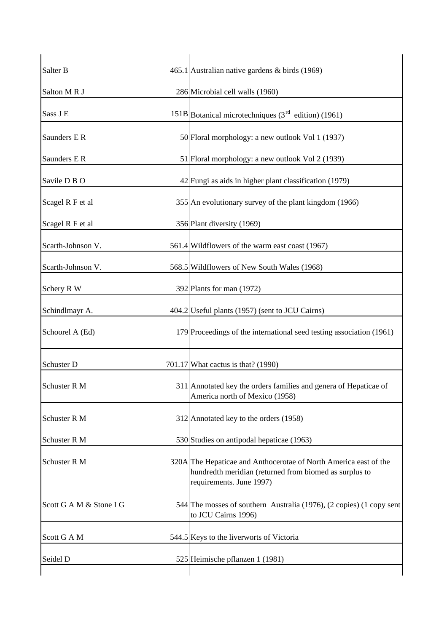| Salter B                | 465.1 Australian native gardens & birds (1969)                                                                                                         |
|-------------------------|--------------------------------------------------------------------------------------------------------------------------------------------------------|
| Salton MRJ              | 286 Microbial cell walls (1960)                                                                                                                        |
| Sass J E                | 151B Botanical microtechniques $(3rd$ edition) (1961)                                                                                                  |
| Saunders E R            | 50 Floral morphology: a new outlook Vol 1 (1937)                                                                                                       |
| Saunders E R            | 51 Floral morphology: a new outlook Vol 2 (1939)                                                                                                       |
| Savile D B O            | 42 Fungi as aids in higher plant classification (1979)                                                                                                 |
| Scagel R F et al        | 355 An evolutionary survey of the plant kingdom (1966)                                                                                                 |
| Scagel R F et al        | 356 Plant diversity (1969)                                                                                                                             |
| Scarth-Johnson V.       | 561.4 Wildflowers of the warm east coast (1967)                                                                                                        |
| Scarth-Johnson V.       | 568.5 Wildflowers of New South Wales (1968)                                                                                                            |
| Schery R W              | 392 Plants for man (1972)                                                                                                                              |
| Schindlmayr A.          | 404.2 Useful plants (1957) (sent to JCU Cairns)                                                                                                        |
| Schoorel A (Ed)         | 179 Proceedings of the international seed testing association (1961)                                                                                   |
| Schuster D              | 701.17 What cactus is that? (1990)                                                                                                                     |
| Schuster R M            | 311 Annotated key the orders families and genera of Hepaticae of<br>America north of Mexico (1958)                                                     |
| Schuster R M            | 312 Annotated key to the orders (1958)                                                                                                                 |
| Schuster R M            | 530 Studies on antipodal hepaticae (1963)                                                                                                              |
| Schuster R M            | 320A The Hepaticae and Anthocerotae of North America east of the<br>hundredth meridian (returned from biomed as surplus to<br>requirements. June 1997) |
| Scott G A M & Stone I G | 544 The mosses of southern Australia (1976), (2 copies) (1 copy sent<br>to JCU Cairns 1996)                                                            |
| Scott G A M             | 544.5 Keys to the liverworts of Victoria                                                                                                               |
| Seidel D                | 525 Heimische pflanzen 1 (1981)                                                                                                                        |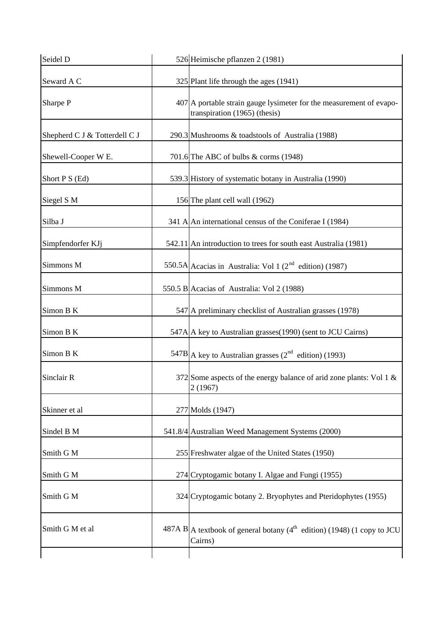| Seidel D                      | 526 Heimische pflanzen 2 (1981)                                                                      |
|-------------------------------|------------------------------------------------------------------------------------------------------|
| Seward A C                    | 325 Plant life through the ages (1941)                                                               |
| Sharpe P                      | 407 A portable strain gauge lysimeter for the measurement of evapo-<br>transpiration (1965) (thesis) |
| Shepherd C J & Totterdell C J | 290.3 Mushrooms & toadstools of Australia (1988)                                                     |
| Shewell-Cooper W E.           | 701.6 The ABC of bulbs $\&$ corms (1948)                                                             |
| Short P S (Ed)                | 539.3 History of systematic botany in Australia (1990)                                               |
| Siegel S M                    | 156 The plant cell wall (1962)                                                                       |
| Silba J                       | 341 A An international census of the Coniferae I (1984)                                              |
| Simpfendorfer KJj             | 542.11 An introduction to trees for south east Australia (1981)                                      |
| Simmons M                     | 550.5A Acacias in Australia: Vol 1 ( $2nd$ edition) (1987)                                           |
| Simmons M                     | 550.5 B Acacias of Australia: Vol 2 (1988)                                                           |
| Simon B K                     | 547 A preliminary checklist of Australian grasses (1978)                                             |
| Simon B K                     | 547A A key to Australian grasses (1990) (sent to JCU Cairns)                                         |
| Simon B K                     | $547B$ A key to Australian grasses (2 <sup>nd</sup> edition) (1993)                                  |
| Sinclair R                    | 372 Some aspects of the energy balance of arid zone plants: Vol 1 &<br>2(1967)                       |
| Skinner et al                 | 277 Molds (1947)                                                                                     |
| Sindel B M                    | 541.8/4 Australian Weed Management Systems (2000)                                                    |
| Smith G M                     | 255 Freshwater algae of the United States (1950)                                                     |
| Smith G M                     | 274 Cryptogamic botany I. Algae and Fungi (1955)                                                     |
| Smith G M                     | 324 Cryptogamic botany 2. Bryophytes and Pteridophytes (1955)                                        |
| Smith G M et al               | $487A B$ A textbook of general botany (4 <sup>th</sup> edition) (1948) (1 copy to JCU<br>Cairns)     |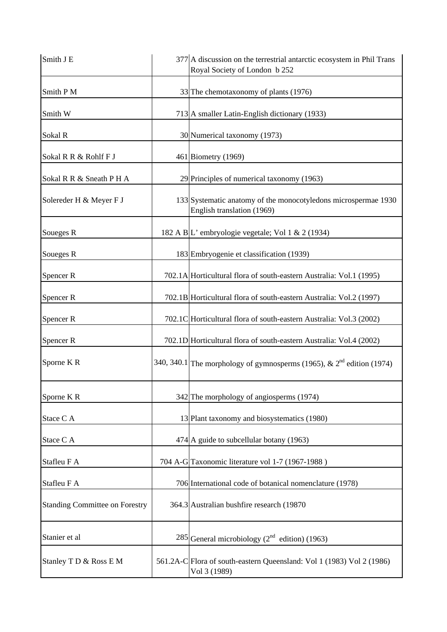| Smith J E                             | 377 A discussion on the terrestrial antarctic ecosystem in Phil Trans<br>Royal Society of London b 252 |
|---------------------------------------|--------------------------------------------------------------------------------------------------------|
| Smith P M                             | 33 The chemotaxonomy of plants (1976)                                                                  |
| Smith W                               | 713 A smaller Latin-English dictionary (1933)                                                          |
| Sokal R                               | 30 Numerical taxonomy (1973)                                                                           |
| Sokal R R & Rohlf F J                 | 461 Biometry (1969)                                                                                    |
| Sokal R R & Sneath P H A              | 29 Principles of numerical taxonomy (1963)                                                             |
| Solereder H & Meyer F J               | 133 Systematic anatomy of the monocotyledons microspermae 1930<br>English translation (1969)           |
| Soueges R                             | 182 A B L' embryologie vegetale; Vol 1 & 2 (1934)                                                      |
| Soueges R                             | 183 Embryogenie et classification (1939)                                                               |
| Spencer R                             | 702.1A Horticultural flora of south-eastern Australia: Vol.1 (1995)                                    |
| Spencer R                             | 702.1B Horticultural flora of south-eastern Australia: Vol.2 (1997)                                    |
| Spencer R                             | 702.1C Horticultural flora of south-eastern Australia: Vol.3 (2002)                                    |
| Spencer <sub>R</sub>                  | 702.1D Horticultural flora of south-eastern Australia: Vol.4 (2002)                                    |
| Sporne KR                             | 340, 340.1 The morphology of gymnosperms (1965), & $2nd$ edition (1974)                                |
| Sporne KR                             | 342 The morphology of angiosperms (1974)                                                               |
| Stace C A                             | 13 Plant taxonomy and biosystematics (1980)                                                            |
| Stace C A                             | 474 A guide to subcellular botany (1963)                                                               |
| Stafleu F A                           | 704 A-G Taxonomic literature vol 1-7 (1967-1988)                                                       |
| Stafleu F A                           | 706 International code of botanical nomenclature (1978)                                                |
| <b>Standing Committee on Forestry</b> | 364.3 Australian bushfire research (19870)                                                             |
| Stanier et al                         | 285 General microbiology ( $2nd$ edition) (1963)                                                       |
| Stanley T D & Ross E M                | 561.2A-C Flora of south-eastern Queensland: Vol 1 (1983) Vol 2 (1986)<br>Vol 3 (1989)                  |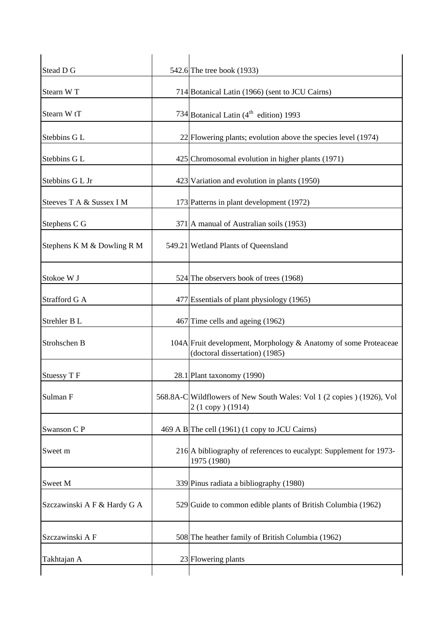| Stead D G                   | 542.6 The tree book (1933)                                                                        |
|-----------------------------|---------------------------------------------------------------------------------------------------|
| Stearn WT                   | 714 Botanical Latin (1966) (sent to JCU Cairns)                                                   |
| Stearn W <sub>tT</sub>      | 734 Botanical Latin $(4^{th}$ edition) 1993                                                       |
| Stebbins GL                 | $22$ Flowering plants; evolution above the species level (1974)                                   |
| Stebbins G L                | 425 Chromosomal evolution in higher plants (1971)                                                 |
| Stebbins G L Jr             | 423 Variation and evolution in plants (1950)                                                      |
| Steeves T A & Sussex I M    | 173 Patterns in plant development (1972)                                                          |
| Stephens C G                | 371 A manual of Australian soils (1953)                                                           |
| Stephens K M & Dowling R M  | 549.21 Wetland Plants of Queensland                                                               |
| Stokoe W J                  | 524 The observers book of trees (1968)                                                            |
| Strafford G A               | 477 Essentials of plant physiology (1965)                                                         |
| Strehler B L                | 467 Time cells and ageing (1962)                                                                  |
| Strohschen B                | 104A Fruit development, Morphology & Anatomy of some Proteaceae<br>(doctoral dissertation) (1985) |
| Stuessy T F                 | 28.1 Plant taxonomy (1990)                                                                        |
| Sulman F                    | 568.8A-C Wildflowers of New South Wales: Vol 1 (2 copies ) (1926), Vol<br>2 (1 copy) (1914)       |
| Swanson CP                  | 469 A B The cell (1961) (1 copy to JCU Cairns)                                                    |
| Sweet m                     | 216 A bibliography of references to eucalypt: Supplement for 1973-<br>1975 (1980)                 |
| Sweet M                     | 339 Pinus radiata a bibliography (1980)                                                           |
| Szczawinski A F & Hardy G A | 529 Guide to common edible plants of British Columbia (1962)                                      |
| Szczawinski A F             | 508 The heather family of British Columbia (1962)                                                 |
| Takhtajan A                 | 23 Flowering plants                                                                               |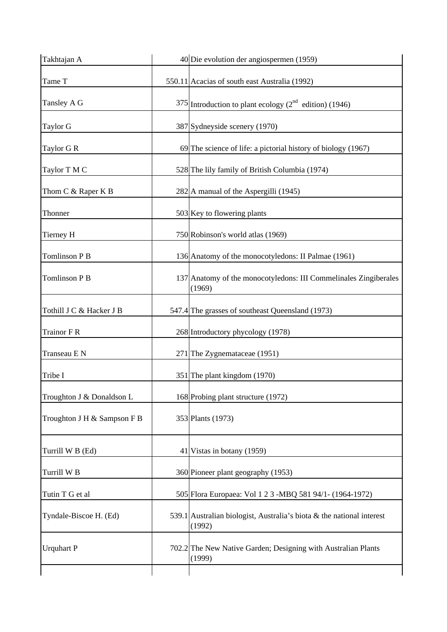| Takhtajan A                 | 40 Die evolution der angiospermen (1959)                                        |
|-----------------------------|---------------------------------------------------------------------------------|
| Tame T                      | 550.11 Acacias of south east Australia (1992)                                   |
| Tansley A G                 | $375$ Introduction to plant ecology ( $2nd$ edition) (1946)                     |
| Taylor G                    | 387 Sydneyside scenery (1970)                                                   |
| Taylor G R                  | 69 The science of life: a pictorial history of biology (1967)                   |
| Taylor T M C                | 528 The lily family of British Columbia (1974)                                  |
| Thom C & Raper K B          | 282 A manual of the Aspergilli (1945)                                           |
| Thonner                     | 503 Key to flowering plants                                                     |
| Tierney H                   | 750 Robinson's world atlas (1969)                                               |
| Tomlinson P B               | 136 Anatomy of the monocotyledons: II Palmae (1961)                             |
| <b>Tomlinson P B</b>        | 137 Anatomy of the monocotyledons: III Commelinales Zingiberales<br>(1969)      |
| Tothill J C & Hacker J B    | 547.4 The grasses of southeast Queensland (1973)                                |
| <b>Trainor F R</b>          | 268 Introductory phycology (1978)                                               |
| Transeau E N                | 271 The Zygnemataceae (1951)                                                    |
| Tribe I                     | 351 The plant kingdom (1970)                                                    |
| Troughton J & Donaldson L   | 168 Probing plant structure (1972)                                              |
| Troughton J H & Sampson F B | 353 Plants (1973)                                                               |
| Turrill W B (Ed)            | 41 Vistas in botany (1959)                                                      |
| Turrill W <sub>B</sub>      | 360 Pioneer plant geography (1953)                                              |
| Tutin T G et al             | 505 Flora Europaea: Vol 1 2 3 -MBQ 581 94/1 - (1964-1972)                       |
| Tyndale-Biscoe H. (Ed)      | 539.1 Australian biologist, Australia's biota & the national interest<br>(1992) |
| <b>Urquhart P</b>           | 702.2 The New Native Garden; Designing with Australian Plants<br>(1999)         |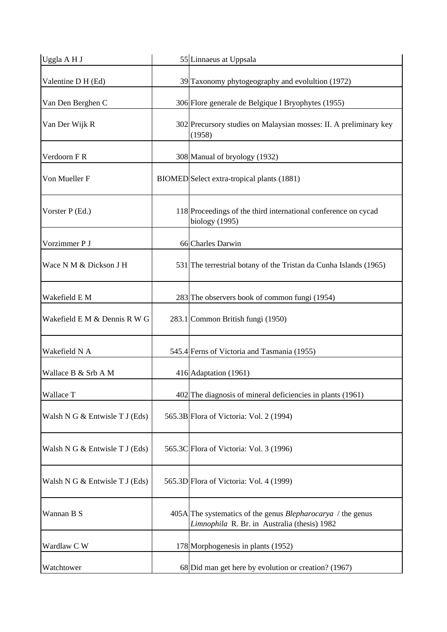| Uggla AHJ                      | 55 Linnaeus at Uppsala                                                                                             |
|--------------------------------|--------------------------------------------------------------------------------------------------------------------|
| Valentine D H (Ed)             | 39 Taxonomy phytogeography and evolultion (1972)                                                                   |
| Van Den Berghen C              | 306 Flore generale de Belgique I Bryophytes (1955)                                                                 |
| Van Der Wijk R                 | 302 Precursory studies on Malaysian mosses: II. A preliminary key<br>(1958)                                        |
| Verdoorn F R                   | 308 Manual of bryology (1932)                                                                                      |
| Von Mueller F                  | BIOMED Select extra-tropical plants (1881)                                                                         |
| Vorster P (Ed.)                | 118 Proceedings of the third international conference on cycad<br>biology (1995)                                   |
| Vorzimmer P J                  | 66 Charles Darwin                                                                                                  |
| Wace N M & Dickson J H         | 531 The terrestrial botany of the Tristan da Cunha Islands (1965)                                                  |
| Wakefield E M                  | 283 The observers book of common fungi (1954)                                                                      |
| Wakefield E M & Dennis R W G   | 283.1 Common British fungi (1950)                                                                                  |
| Wakefield N A                  | 545.4 Ferns of Victoria and Tasmania (1955)                                                                        |
| Wallace B & Srb A M            | 416 Adaptation (1961)                                                                                              |
| Wallace T                      | 402 The diagnosis of mineral deficiencies in plants (1961)                                                         |
| Walsh N G & Entwisle T J (Eds) | 565.3B Flora of Victoria: Vol. 2 (1994)                                                                            |
| Walsh N G & Entwisle T J (Eds) | 565.3C Flora of Victoria: Vol. 3 (1996)                                                                            |
| Walsh N G & Entwisle T J (Eds) | 565.3D Flora of Victoria: Vol. 4 (1999)                                                                            |
| Wannan B S                     | 405A The systematics of the genus <i>Blepharocarya</i> / the genus<br>Limnophila R. Br. in Australia (thesis) 1982 |
| Wardlaw C W                    | 178 Morphogenesis in plants (1952)                                                                                 |
| Watchtower                     | 68 Did man get here by evolution or creation? (1967)                                                               |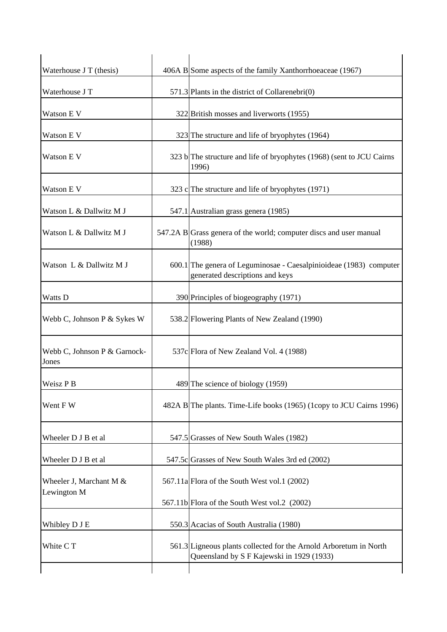| Waterhouse J T (thesis)                  | 406A B Some aspects of the family Xanthorrhoeaceae (1967)                                                      |
|------------------------------------------|----------------------------------------------------------------------------------------------------------------|
| Waterhouse J T                           | 571.3 Plants in the district of Collarenebri $(0)$                                                             |
| Watson E V                               | 322 British mosses and liverworts (1955)                                                                       |
| Watson E V                               | 323 The structure and life of bryophytes (1964)                                                                |
| Watson E V                               | 323 b The structure and life of bryophytes (1968) (sent to JCU Cairns<br>1996)                                 |
| Watson E V                               | 323 c $\Gamma$ The structure and life of bryophytes (1971)                                                     |
| Watson L & Dallwitz M J                  | 547.1 Australian grass genera (1985)                                                                           |
| Watson L & Dallwitz M J                  | 547.2A B Grass genera of the world; computer discs and user manual<br>(1988)                                   |
| Watson L & Dallwitz M J                  | 600.1 The genera of Leguminosae - Caesalpinioideae (1983) computer<br>generated descriptions and keys          |
| Watts D                                  | 390 Principles of biogeography (1971)                                                                          |
| Webb C, Johnson P & Sykes W              | 538.2 Flowering Plants of New Zealand (1990)                                                                   |
| Webb C, Johnson P & Garnock-<br>Jones    | 537c Flora of New Zealand Vol. 4 (1988)                                                                        |
| Weisz P B                                | 489 The science of biology (1959)                                                                              |
| Went F W                                 | 482A B The plants. Time-Life books (1965) (1copy to JCU Cairns 1996)                                           |
| Wheeler D J B et al                      | 547.5 Grasses of New South Wales (1982)                                                                        |
| Wheeler D J B et al                      | 547.5c Grasses of New South Wales 3rd ed (2002)                                                                |
| Wheeler J, Marchant M $&$<br>Lewington M | 567.11a Flora of the South West vol.1 (2002)                                                                   |
|                                          | 567.11b Flora of the South West vol.2 (2002)                                                                   |
| Whibley D J E                            | 550.3 Acacias of South Australia (1980)                                                                        |
| White C T                                | 561.3 Ligneous plants collected for the Arnold Arboretum in North<br>Queensland by S F Kajewski in 1929 (1933) |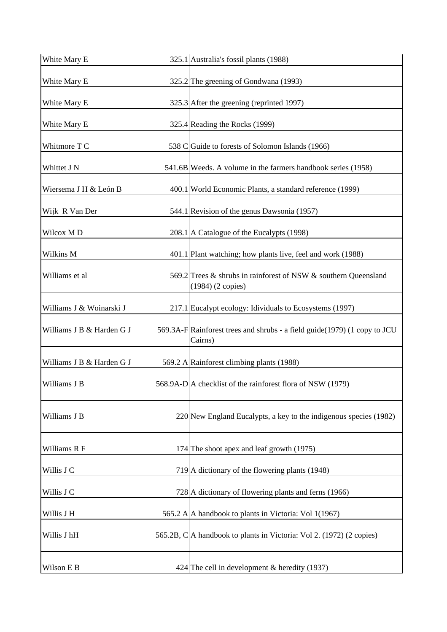| White Mary E              | 325.1 Australia's fossil plants (1988)                                               |
|---------------------------|--------------------------------------------------------------------------------------|
| White Mary E              | 325.2 The greening of Gondwana (1993)                                                |
| White Mary E              | 325.3 After the greening (reprinted 1997)                                            |
| White Mary E              | 325.4 Reading the Rocks (1999)                                                       |
| Whitmore T C              | 538 C Guide to forests of Solomon Islands (1966)                                     |
| Whittet J N               | 541.6B Weeds. A volume in the farmers handbook series (1958)                         |
| Wiersema J H & León B     | 400.1 World Economic Plants, a standard reference (1999)                             |
| Wijk R Van Der            | 544.1 Revision of the genus Dawsonia (1957)                                          |
| Wilcox MD                 | 208.1 A Catalogue of the Eucalypts (1998)                                            |
| Wilkins M                 | 401.1 Plant watching; how plants live, feel and work (1988)                          |
| Williams et al            | 569.2 Trees & shrubs in rainforest of NSW & southern Queensland<br>(1984) (2 copies) |
| Williams J & Woinarski J  | 217.1 Eucalypt ecology: Idividuals to Ecosystems (1997)                              |
| Williams J B & Harden G J | 569.3A-F Rainforest trees and shrubs - a field guide(1979) (1 copy to JCU<br>Cairns) |
| Williams J B & Harden G J | 569.2 A Rainforest climbing plants (1988)                                            |
| Williams J B              | 568.9A-D A checklist of the rainforest flora of NSW (1979)                           |
| Williams J B              | 220 New England Eucalypts, a key to the indigenous species (1982)                    |
| Williams R F              | 174 The shoot apex and leaf growth (1975)                                            |
| Willis J C                | 719 A dictionary of the flowering plants (1948)                                      |
| Willis J C                | 728 A dictionary of flowering plants and ferns (1966)                                |
| Willis J H                | 565.2 A A handbook to plants in Victoria: Vol 1(1967)                                |
| Willis J hH               | 565.2B, C A handbook to plants in Victoria: Vol 2. (1972) (2 copies)                 |
| Wilson E B                | 424 The cell in development $\&$ heredity (1937)                                     |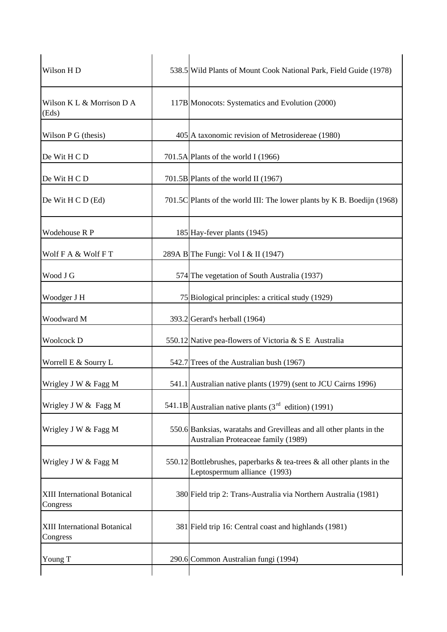| Wilson H <sub>D</sub>                    | 538.5 Wild Plants of Mount Cook National Park, Field Guide (1978)                                          |
|------------------------------------------|------------------------------------------------------------------------------------------------------------|
| Wilson K L & Morrison D A<br>(Eds)       | 117B Monocots: Systematics and Evolution (2000)                                                            |
| Wilson P G (thesis)                      | 405 A taxonomic revision of Metrosidereae (1980)                                                           |
| De Wit H C D                             | 701.5A Plants of the world I (1966)                                                                        |
| De Wit H C D                             | 701.5B Plants of the world II (1967)                                                                       |
| De Wit H C D (Ed)                        | 701.5C Plants of the world III: The lower plants by K B. Boedijn (1968)                                    |
| Wodehouse R P                            | 185 Hay-fever plants (1945)                                                                                |
| Wolf F A & Wolf F T                      | 289A B The Fungi: Vol I & II (1947)                                                                        |
| Wood J G                                 | 574 The vegetation of South Australia (1937)                                                               |
| Woodger J H                              | 75 Biological principles: a critical study (1929)                                                          |
| Woodward M                               | 393.2 Gerard's herball (1964)                                                                              |
| Woolcock D                               | 550.12 Native pea-flowers of Victoria & S E Australia                                                      |
| Worrell E & Sourry L                     | 542.7 Trees of the Australian bush (1967)                                                                  |
| Wrigley J W & Fagg M                     | 541.1 Australian native plants (1979) (sent to JCU Cairns 1996)                                            |
| Wrigley J W & Fagg M                     | 541.1B Australian native plants $(3rd$ edition) (1991)                                                     |
| Wrigley J W & Fagg M                     | 550.6 Banksias, waratahs and Grevilleas and all other plants in the<br>Australian Proteaceae family (1989) |
| Wrigley J W & Fagg M                     | 550.12 Bottlebrushes, paperbarks & tea-trees & all other plants in the<br>Leptospermum alliance (1993)     |
| XIII International Botanical<br>Congress | 380 Field trip 2: Trans-Australia via Northern Australia (1981)                                            |
| XIII International Botanical<br>Congress | 381 Field trip 16: Central coast and highlands (1981)                                                      |
| Young T                                  | 290.6 Common Australian fungi (1994)                                                                       |